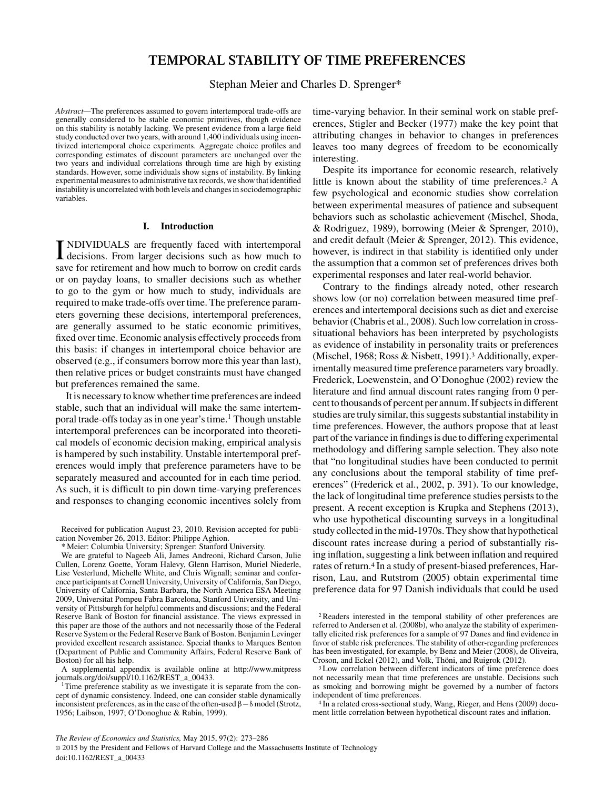# **TEMPORAL STABILITY OF TIME PREFERENCES**

# Stephan Meier and Charles D. Sprenger\*

*Abstract—*The preferences assumed to govern intertemporal trade-offs are generally considered to be stable economic primitives, though evidence on this stability is notably lacking. We present evidence from a large field study conducted over two years, with around 1,400 individuals using incentivized intertemporal choice experiments. Aggregate choice profiles and corresponding estimates of discount parameters are unchanged over the two years and individual correlations through time are high by existing standards. However, some individuals show signs of instability. By linking experimental measures to administrative tax records, we show that identified instability is uncorrelated with both levels and changes in sociodemographic variables.

#### **I. Introduction**

**INDIVIDUALS** are frequently faced with intertemporal decisions. From larger decisions such as how much to NDIVIDUALS are frequently faced with intertemporal save for retirement and how much to borrow on credit cards or on payday loans, to smaller decisions such as whether to go to the gym or how much to study, individuals are required to make trade-offs over time. The preference parameters governing these decisions, intertemporal preferences, are generally assumed to be static economic primitives, fixed over time. Economic analysis effectively proceeds from this basis: if changes in intertemporal choice behavior are observed (e.g., if consumers borrow more this year than last), then relative prices or budget constraints must have changed but preferences remained the same.

It is necessary to know whether time preferences are indeed stable, such that an individual will make the same intertemporal trade-offs today as in one year's time.<sup>1</sup> Though unstable intertemporal preferences can be incorporated into theoretical models of economic decision making, empirical analysis is hampered by such instability. Unstable intertemporal preferences would imply that preference parameters have to be separately measured and accounted for in each time period. As such, it is difficult to pin down time-varying preferences and responses to changing economic incentives solely from

Received for publication August 23, 2010. Revision accepted for publication November 26, 2013. Editor: Philippe Aghion.

\* Meier: Columbia University; Sprenger: Stanford University.

We are grateful to Nageeb Ali, James Andreoni, Richard Carson, Julie Cullen, Lorenz Goette, Yoram Halevy, Glenn Harrison, Muriel Niederle, Lise Vesterlund, Michelle White, and Chris Wignall; seminar and conference participants at Cornell University, University of California, San Diego, University of California, Santa Barbara, the North America ESA Meeting 2009, Universitat Pompeu Fabra Barcelona, Stanford University, and University of Pittsburgh for helpful comments and discussions; and the Federal Reserve Bank of Boston for financial assistance. The views expressed in this paper are those of the authors and not necessarily those of the Federal Reserve System or the Federal Reserve Bank of Boston. Benjamin Levinger provided excellent research assistance. Special thanks to Marques Benton (Department of Public and Community Affairs, Federal Reserve Bank of Boston) for all his help.

A supplemental appendix is available online at http://www.mitpress

time-varying behavior. In their seminal work on stable preferences, Stigler and Becker (1977) make the key point that attributing changes in behavior to changes in preferences leaves too many degrees of freedom to be economically interesting.

Despite its importance for economic research, relatively little is known about the stability of time preferences.2 A few psychological and economic studies show correlation between experimental measures of patience and subsequent behaviors such as scholastic achievement (Mischel, Shoda, & Rodriguez, 1989), borrowing (Meier & Sprenger, 2010), and credit default (Meier & Sprenger, 2012). This evidence, however, is indirect in that stability is identified only under the assumption that a common set of preferences drives both experimental responses and later real-world behavior.

Contrary to the findings already noted, other research shows low (or no) correlation between measured time preferences and intertemporal decisions such as diet and exercise behavior (Chabris et al., 2008). Such low correlation in crosssituational behaviors has been interpreted by psychologists as evidence of instability in personality traits or preferences (Mischel, 1968; Ross & Nisbett, 1991).3 Additionally, experimentally measured time preference parameters vary broadly. Frederick, Loewenstein, and O'Donoghue (2002) review the literature and find annual discount rates ranging from 0 percent to thousands of percent per annum. If subjects in different studies are truly similar, this suggests substantial instability in time preferences. However, the authors propose that at least part of the variance in findings is due to differing experimental methodology and differing sample selection. They also note that "no longitudinal studies have been conducted to permit any conclusions about the temporal stability of time preferences" (Frederick et al., 2002, p. 391). To our knowledge, the lack of longitudinal time preference studies persists to the present. A recent exception is Krupka and Stephens (2013), who use hypothetical discounting surveys in a longitudinal study collected in the mid-1970s. They show that hypothetical discount rates increase during a period of substantially rising inflation, suggesting a link between inflation and required rates of return.4 In a study of present-biased preferences, Harrison, Lau, and Rutstrom (2005) obtain experimental time preference data for 97 Danish individuals that could be used

<sup>4</sup> In a related cross-sectional study, Wang, Rieger, and Hens (2009) document little correlation between hypothetical discount rates and inflation.

<sup>&</sup>lt;sup>1</sup>Time preference stability as we investigate it is separate from the concept of dynamic consistency. Indeed, one can consider stable dynamically inconsistent preferences, as in the case of the often-used β−δ model (Strotz, 1956; Laibson, 1997; O'Donoghue & Rabin, 1999).

<sup>2</sup>Readers interested in the temporal stability of other preferences are referred to Andersen et al. (2008b), who analyze the stability of experimentally elicited risk preferences for a sample of 97 Danes and find evidence in favor of stable risk preferences. The stability of other-regarding preferences has been investigated, for example, by Benz and Meier (2008), de Oliveira, Croson, and Eckel (2012), and Volk, Thöni, and Ruigrok (2012).

<sup>&</sup>lt;sup>3</sup> Low correlation between different indicators of time preference does not necessarily mean that time preferences are unstable. Decisions such as smoking and borrowing might be governed by a number of factors independent of time preferences.

<sup>©</sup> 2015 by the President and Fellows of Harvard College and the Massachusetts Institute of Technology doi:10.1162/REST\_a\_00433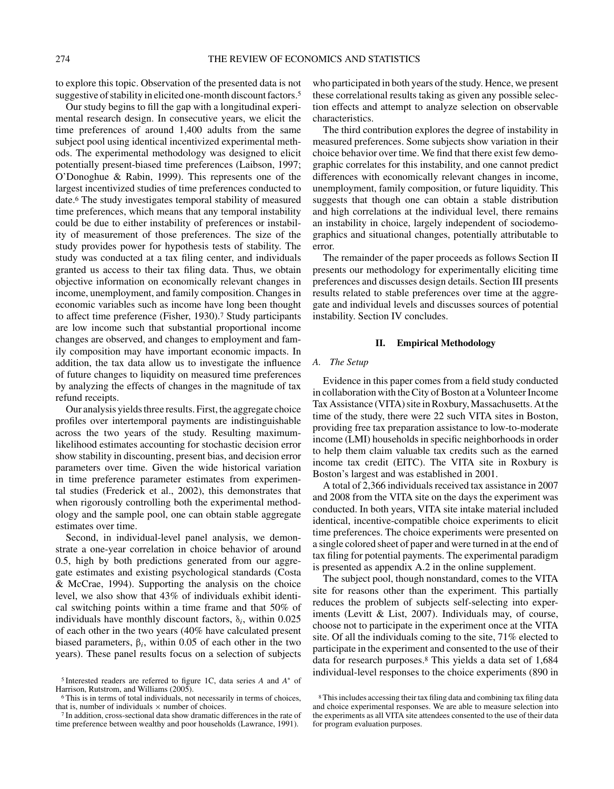to explore this topic. Observation of the presented data is not suggestive of stability in elicited one-month discount factors.<sup>5</sup>

Our study begins to fill the gap with a longitudinal experimental research design. In consecutive years, we elicit the time preferences of around 1,400 adults from the same subject pool using identical incentivized experimental methods. The experimental methodology was designed to elicit potentially present-biased time preferences (Laibson, 1997; O'Donoghue & Rabin, 1999). This represents one of the largest incentivized studies of time preferences conducted to date.6 The study investigates temporal stability of measured time preferences, which means that any temporal instability could be due to either instability of preferences or instability of measurement of those preferences. The size of the study provides power for hypothesis tests of stability. The study was conducted at a tax filing center, and individuals granted us access to their tax filing data. Thus, we obtain objective information on economically relevant changes in income, unemployment, and family composition. Changes in economic variables such as income have long been thought to affect time preference (Fisher, 1930).7 Study participants are low income such that substantial proportional income changes are observed, and changes to employment and family composition may have important economic impacts. In addition, the tax data allow us to investigate the influence of future changes to liquidity on measured time preferences by analyzing the effects of changes in the magnitude of tax refund receipts.

Our analysis yields three results. First, the aggregate choice profiles over intertemporal payments are indistinguishable across the two years of the study. Resulting maximumlikelihood estimates accounting for stochastic decision error show stability in discounting, present bias, and decision error parameters over time. Given the wide historical variation in time preference parameter estimates from experimental studies (Frederick et al., 2002), this demonstrates that when rigorously controlling both the experimental methodology and the sample pool, one can obtain stable aggregate estimates over time.

Second, in individual-level panel analysis, we demonstrate a one-year correlation in choice behavior of around 0.5, high by both predictions generated from our aggregate estimates and existing psychological standards (Costa & McCrae, 1994). Supporting the analysis on the choice level, we also show that 43% of individuals exhibit identical switching points within a time frame and that 50% of individuals have monthly discount factors,  $\delta_i$ , within 0.025 of each other in the two years (40% have calculated present biased parameters,  $β<sub>i</sub>$ , within 0.05 of each other in the two years). These panel results focus on a selection of subjects

who participated in both years of the study. Hence, we present these correlational results taking as given any possible selection effects and attempt to analyze selection on observable characteristics.

The third contribution explores the degree of instability in measured preferences. Some subjects show variation in their choice behavior over time. We find that there exist few demographic correlates for this instability, and one cannot predict differences with economically relevant changes in income, unemployment, family composition, or future liquidity. This suggests that though one can obtain a stable distribution and high correlations at the individual level, there remains an instability in choice, largely independent of sociodemographics and situational changes, potentially attributable to error.

The remainder of the paper proceeds as follows Section II presents our methodology for experimentally eliciting time preferences and discusses design details. Section III presents results related to stable preferences over time at the aggregate and individual levels and discusses sources of potential instability. Section IV concludes.

# **II. Empirical Methodology**

#### *A. The Setup*

Evidence in this paper comes from a field study conducted in collaboration with the City of Boston at a Volunteer Income Tax Assistance (VITA) site in Roxbury, Massachusetts. At the time of the study, there were 22 such VITA sites in Boston, providing free tax preparation assistance to low-to-moderate income (LMI) households in specific neighborhoods in order to help them claim valuable tax credits such as the earned income tax credit (EITC). The VITA site in Roxbury is Boston's largest and was established in 2001.

A total of 2,366 individuals received tax assistance in 2007 and 2008 from the VITA site on the days the experiment was conducted. In both years, VITA site intake material included identical, incentive-compatible choice experiments to elicit time preferences. The choice experiments were presented on a single colored sheet of paper and were turned in at the end of tax filing for potential payments. The experimental paradigm is presented as appendix A.2 in the online supplement.

The subject pool, though nonstandard, comes to the VITA site for reasons other than the experiment. This partially reduces the problem of subjects self-selecting into experiments (Levitt & List, 2007). Individuals may, of course, choose not to participate in the experiment once at the VITA site. Of all the individuals coming to the site, 71% elected to participate in the experiment and consented to the use of their data for research purposes.8 This yields a data set of 1,684 individual-level responses to the choice experiments (890 in

<sup>5</sup> Interested readers are referred to figure 1C, data series *A* and *A*<sup>∗</sup> of Harrison, Rutstrom, and Williams (2005).

<sup>6</sup> This is in terms of total individuals, not necessarily in terms of choices, that is, number of individuals  $\times$  number of choices.<br><sup>7</sup> In addition, cross-sectional data show dramatic differences in the rate of

time preference between wealthy and poor households (Lawrance, 1991).

<sup>8</sup> This includes accessing their tax filing data and combining tax filing data and choice experimental responses. We are able to measure selection into the experiments as all VITA site attendees consented to the use of their data for program evaluation purposes.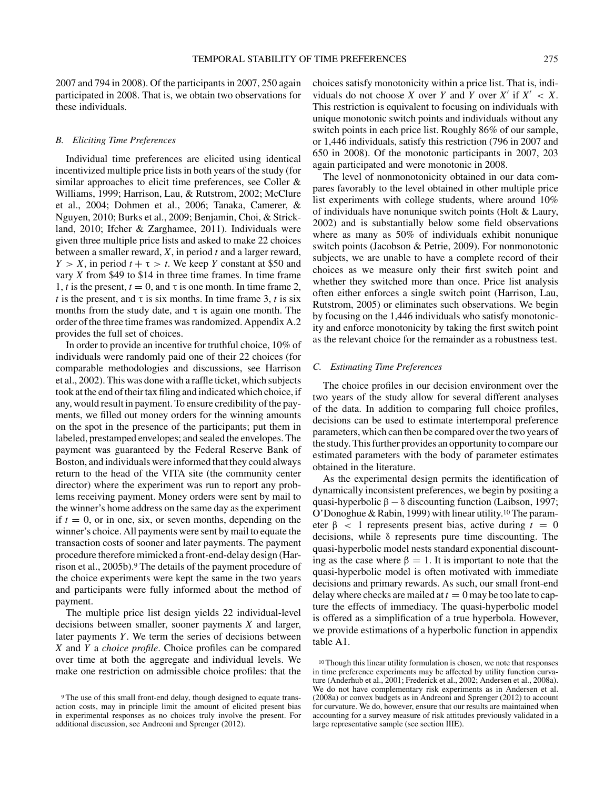2007 and 794 in 2008). Of the participants in 2007, 250 again participated in 2008. That is, we obtain two observations for these individuals.

### *B. Eliciting Time Preferences*

Individual time preferences are elicited using identical incentivized multiple price lists in both years of the study (for similar approaches to elicit time preferences, see Coller & Williams, 1999; Harrison, Lau, & Rutstrom, 2002; McClure et al., 2004; Dohmen et al., 2006; Tanaka, Camerer, & Nguyen, 2010; Burks et al., 2009; Benjamin, Choi, & Strickland, 2010; Ifcher & Zarghamee, 2011). Individuals were given three multiple price lists and asked to make 22 choices between a smaller reward, *X*, in period *t* and a larger reward, *Y* > *X*, in period  $t + \tau$  > *t*. We keep *Y* constant at \$50 and vary *X* from \$49 to \$14 in three time frames. In time frame 1, *t* is the present,  $t = 0$ , and  $\tau$  is one month. In time frame 2, *t* is the present, and  $\tau$  is six months. In time frame 3, *t* is six months from the study date, and  $\tau$  is again one month. The order of the three time frames was randomized. Appendix A.2 provides the full set of choices.

In order to provide an incentive for truthful choice, 10% of individuals were randomly paid one of their 22 choices (for comparable methodologies and discussions, see Harrison et al., 2002). This was done with a raffle ticket, which subjects took at the end of their tax filing and indicated which choice, if any, would result in payment. To ensure credibility of the payments, we filled out money orders for the winning amounts on the spot in the presence of the participants; put them in labeled, prestamped envelopes; and sealed the envelopes. The payment was guaranteed by the Federal Reserve Bank of Boston, and individuals were informed that they could always return to the head of the VITA site (the community center director) where the experiment was run to report any problems receiving payment. Money orders were sent by mail to the winner's home address on the same day as the experiment if  $t = 0$ , or in one, six, or seven months, depending on the winner's choice. All payments were sent by mail to equate the transaction costs of sooner and later payments. The payment procedure therefore mimicked a front-end-delay design (Harrison et al., 2005b).9 The details of the payment procedure of the choice experiments were kept the same in the two years and participants were fully informed about the method of payment.

The multiple price list design yields 22 individual-level decisions between smaller, sooner payments *X* and larger, later payments *Y*. We term the series of decisions between *X* and *Y* a *choice profile*. Choice profiles can be compared over time at both the aggregate and individual levels. We make one restriction on admissible choice profiles: that the choices satisfy monotonicity within a price list. That is, individuals do not choose *X* over *Y* and *Y* over  $X'$  if  $X' < X$ . This restriction is equivalent to focusing on individuals with unique monotonic switch points and individuals without any switch points in each price list. Roughly 86% of our sample, or 1,446 individuals, satisfy this restriction (796 in 2007 and 650 in 2008). Of the monotonic participants in 2007, 203 again participated and were monotonic in 2008.

The level of nonmonotonicity obtained in our data compares favorably to the level obtained in other multiple price list experiments with college students, where around 10% of individuals have nonunique switch points (Holt & Laury, 2002) and is substantially below some field observations where as many as 50% of individuals exhibit nonunique switch points (Jacobson & Petrie, 2009). For nonmonotonic subjects, we are unable to have a complete record of their choices as we measure only their first switch point and whether they switched more than once. Price list analysis often either enforces a single switch point (Harrison, Lau, Rutstrom, 2005) or eliminates such observations. We begin by focusing on the 1,446 individuals who satisfy monotonicity and enforce monotonicity by taking the first switch point as the relevant choice for the remainder as a robustness test.

# *C. Estimating Time Preferences*

The choice profiles in our decision environment over the two years of the study allow for several different analyses of the data. In addition to comparing full choice profiles, decisions can be used to estimate intertemporal preference parameters, which can then be compared over the two years of the study. This further provides an opportunity to compare our estimated parameters with the body of parameter estimates obtained in the literature.

As the experimental design permits the identification of dynamically inconsistent preferences, we begin by positing a quasi-hyperbolic  $\beta - \delta$  discounting function (Laibson, 1997; O'Donoghue & Rabin, 1999) with linear utility.10 The parameter  $\beta$  < 1 represents present bias, active during  $t = 0$ decisions, while δ represents pure time discounting. The quasi-hyperbolic model nests standard exponential discounting as the case where  $\beta = 1$ . It is important to note that the quasi-hyperbolic model is often motivated with immediate decisions and primary rewards. As such, our small front-end delay where checks are mailed at  $t = 0$  may be too late to capture the effects of immediacy. The quasi-hyperbolic model is offered as a simplification of a true hyperbola. However, we provide estimations of a hyperbolic function in appendix table A1.

<sup>9</sup> The use of this small front-end delay, though designed to equate transaction costs, may in principle limit the amount of elicited present bias in experimental responses as no choices truly involve the present. For additional discussion, see Andreoni and Sprenger (2012).

<sup>10</sup> Though this linear utility formulation is chosen, we note that responses in time preference experiments may be affected by utility function curvature (Anderhub et al., 2001; Frederick et al., 2002; Andersen et al., 2008a). We do not have complementary risk experiments as in Andersen et al. (2008a) or convex budgets as in Andreoni and Sprenger (2012) to account for curvature. We do, however, ensure that our results are maintained when accounting for a survey measure of risk attitudes previously validated in a large representative sample (see section IIIE).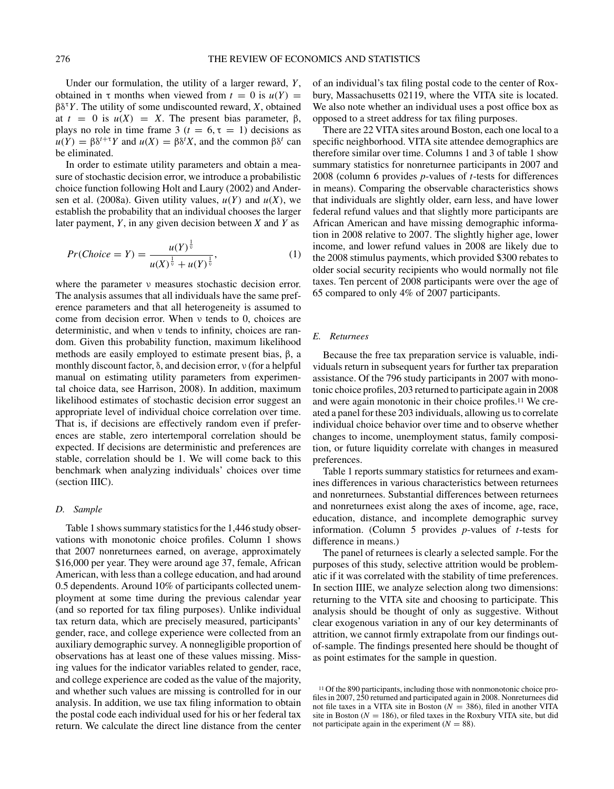Under our formulation, the utility of a larger reward, *Y*, obtained in  $\tau$  months when viewed from  $t = 0$  is  $u(Y) =$ βδ<sup>τ</sup>*Y*. The utility of some undiscounted reward, *X*, obtained at  $t = 0$  is  $u(X) = X$ . The present bias parameter,  $\beta$ , plays no role in time frame 3 ( $t = 6$ ,  $\tau = 1$ ) decisions as  $u(Y) = \beta \delta^{t+\tau} Y$  and  $u(X) = \beta \delta^{t} X$ , and the common  $\beta \delta^{t}$  can be eliminated.

In order to estimate utility parameters and obtain a measure of stochastic decision error, we introduce a probabilistic choice function following Holt and Laury (2002) and Andersen et al. (2008a). Given utility values,  $u(Y)$  and  $u(X)$ , we establish the probability that an individual chooses the larger later payment, *Y*, in any given decision between *X* and *Y* as

$$
Pr(Choice = Y) = \frac{u(Y)^{\frac{1}{\nu}}}{u(X)^{\frac{1}{\nu}} + u(Y)^{\frac{1}{\nu}}},
$$
\n(1)

where the parameter ν measures stochastic decision error. The analysis assumes that all individuals have the same preference parameters and that all heterogeneity is assumed to come from decision error. When ν tends to 0, choices are deterministic, and when ν tends to infinity, choices are random. Given this probability function, maximum likelihood methods are easily employed to estimate present bias, β, a monthly discount factor, δ, and decision error, ν (for a helpful manual on estimating utility parameters from experimental choice data, see Harrison, 2008). In addition, maximum likelihood estimates of stochastic decision error suggest an appropriate level of individual choice correlation over time. That is, if decisions are effectively random even if preferences are stable, zero intertemporal correlation should be expected. If decisions are deterministic and preferences are stable, correlation should be 1. We will come back to this benchmark when analyzing individuals' choices over time (section IIIC).

#### *D. Sample*

Table 1 shows summary statistics for the 1,446 study observations with monotonic choice profiles. Column 1 shows that 2007 nonreturnees earned, on average, approximately \$16,000 per year. They were around age 37, female, African American, with less than a college education, and had around 0.5 dependents. Around 10% of participants collected unemployment at some time during the previous calendar year (and so reported for tax filing purposes). Unlike individual tax return data, which are precisely measured, participants' gender, race, and college experience were collected from an auxiliary demographic survey. A nonnegligible proportion of observations has at least one of these values missing. Missing values for the indicator variables related to gender, race, and college experience are coded as the value of the majority, and whether such values are missing is controlled for in our analysis. In addition, we use tax filing information to obtain the postal code each individual used for his or her federal tax return. We calculate the direct line distance from the center

of an individual's tax filing postal code to the center of Roxbury, Massachusetts 02119, where the VITA site is located. We also note whether an individual uses a post office box as opposed to a street address for tax filing purposes.

There are 22 VITA sites around Boston, each one local to a specific neighborhood. VITA site attendee demographics are therefore similar over time. Columns 1 and 3 of table 1 show summary statistics for nonreturnee participants in 2007 and 2008 (column 6 provides *p*-values of *t*-tests for differences in means). Comparing the observable characteristics shows that individuals are slightly older, earn less, and have lower federal refund values and that slightly more participants are African American and have missing demographic information in 2008 relative to 2007. The slightly higher age, lower income, and lower refund values in 2008 are likely due to the 2008 stimulus payments, which provided \$300 rebates to older social security recipients who would normally not file taxes. Ten percent of 2008 participants were over the age of 65 compared to only 4% of 2007 participants.

# *E. Returnees*

Because the free tax preparation service is valuable, individuals return in subsequent years for further tax preparation assistance. Of the 796 study participants in 2007 with monotonic choice profiles, 203 returned to participate again in 2008 and were again monotonic in their choice profiles.11 We created a panel for these 203 individuals, allowing us to correlate individual choice behavior over time and to observe whether changes to income, unemployment status, family composition, or future liquidity correlate with changes in measured preferences.

Table 1 reports summary statistics for returnees and examines differences in various characteristics between returnees and nonreturnees. Substantial differences between returnees and nonreturnees exist along the axes of income, age, race, education, distance, and incomplete demographic survey information. (Column 5 provides *p*-values of *t*-tests for difference in means.)

The panel of returnees is clearly a selected sample. For the purposes of this study, selective attrition would be problematic if it was correlated with the stability of time preferences. In section IIIE, we analyze selection along two dimensions: returning to the VITA site and choosing to participate. This analysis should be thought of only as suggestive. Without clear exogenous variation in any of our key determinants of attrition, we cannot firmly extrapolate from our findings outof-sample. The findings presented here should be thought of as point estimates for the sample in question.

<sup>11</sup> Of the 890 participants, including those with nonmonotonic choice profiles in 2007, 250 returned and participated again in 2008. Nonreturnees did not file taxes in a VITA site in Boston ( $N = 386$ ), filed in another VITA site in Boston ( $N = 186$ ), or filed taxes in the Roxbury VITA site, but did not participate again in the experiment  $(N = 88)$ .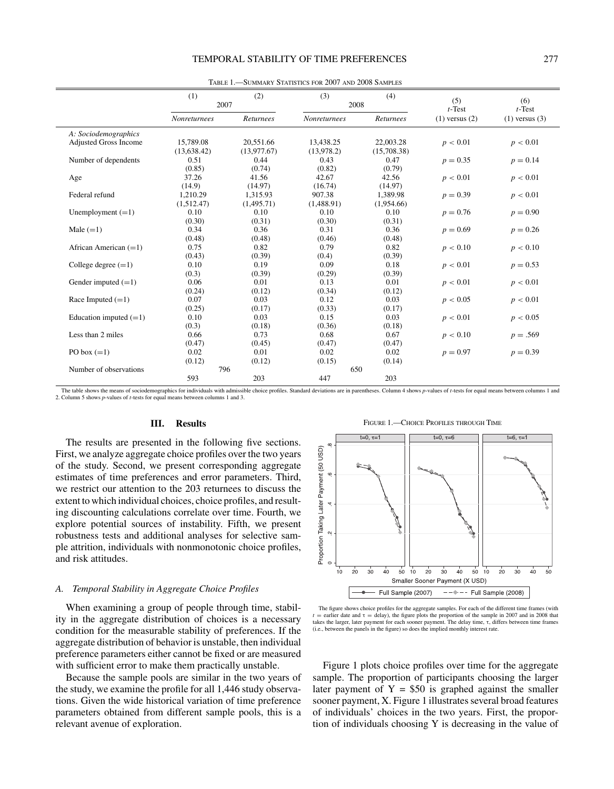# TEMPORAL STABILITY OF TIME PREFERENCES 277

|                              | (1)                 | (2)         | (3)                 | (4)         | (5)                | (6)                |
|------------------------------|---------------------|-------------|---------------------|-------------|--------------------|--------------------|
|                              | 2007                |             | 2008                |             | $t$ -Test          | $t$ -Test          |
|                              | <b>Nonreturnees</b> | Returnees   | <b>Nonreturnees</b> | Returnees   | $(1)$ versus $(2)$ | $(1)$ versus $(3)$ |
| A: Sociodemographics         |                     |             |                     |             |                    |                    |
| <b>Adjusted Gross Income</b> | 15,789.08           | 20,551.66   | 13,438.25           | 22,003.28   | p < 0.01           | p < 0.01           |
|                              | (13.638.42)         | (13.977.67) | (13,978.2)          | (15,708.38) |                    |                    |
| Number of dependents         | 0.51                | 0.44        | 0.43                | 0.47        | $p = 0.35$         | $p = 0.14$         |
|                              | (0.85)              | (0.74)      | (0.82)              | (0.79)      |                    |                    |
| Age                          | 37.26               | 41.56       | 42.67               | 42.56       | p < 0.01           | p < 0.01           |
|                              | (14.9)              | (14.97)     | (16.74)             | (14.97)     |                    |                    |
| Federal refund               | 1.210.29            | 1.315.93    | 907.38              | 1.389.98    | $p = 0.39$         | p < 0.01           |
|                              | (1,512.47)          | (1,495.71)  | (1,488.91)          | (1,954.66)  |                    |                    |
| Unemployment $(=1)$          | 0.10                | 0.10        | 0.10                | 0.10        | $p = 0.76$         | $p = 0.90$         |
|                              | (0.30)              | (0.31)      | (0.30)              | (0.31)      |                    |                    |
| Male $(=1)$                  | 0.34                | 0.36        | 0.31                | 0.36        | $p = 0.69$         | $p = 0.26$         |
|                              | (0.48)              | (0.48)      | (0.46)              | (0.48)      |                    |                    |
| African American $(=1)$      | 0.75                | 0.82        | 0.79                | 0.82        | p < 0.10           | p < 0.10           |
|                              | (0.43)              | (0.39)      | (0.4)               | (0.39)      |                    |                    |
| College degree $(=1)$        | 0.10                | 0.19        | 0.09                | 0.18        | p < 0.01           | $p = 0.53$         |
|                              | (0.3)               | (0.39)      | (0.29)              | (0.39)      |                    |                    |
| Gender imputed $(=1)$        | 0.06                | 0.01        | 0.13                | 0.01        | p < 0.01           | p < 0.01           |
|                              | (0.24)              | (0.12)      | (0.34)              | (0.12)      |                    |                    |
| Race Imputed $(=1)$          | 0.07                | 0.03        | 0.12                | 0.03        | p < 0.05           | p < 0.01           |
|                              | (0.25)              | (0.17)      | (0.33)              | (0.17)      |                    |                    |
| Education imputed $(=1)$     | 0.10                | 0.03        | 0.15                | 0.03        | p < 0.01           | p < 0.05           |
|                              | (0.3)               | (0.18)      | (0.36)              | (0.18)      |                    |                    |
| Less than 2 miles            | 0.66                | 0.73        | 0.68                | 0.67        | p < 0.10           | $p = .569$         |
|                              | (0.47)              | (0.45)      | (0.47)              | (0.47)      |                    |                    |
| PO box $(=1)$                | 0.02                | 0.01        | 0.02                | 0.02        | $p = 0.97$         | $p = 0.39$         |
|                              | (0.12)              | (0.12)      | (0.15)              | (0.14)      |                    |                    |
| Number of observations       | 796                 |             | 650                 |             |                    |                    |
|                              | 593                 | 203         | 447                 | 203         |                    |                    |

Table 1.—Summary Statistics for 2007 and 2008 Samples

The table shows the means of sociodemographics for individuals with admissible choice profiles. Standard deviations are in parentheses. Column 4 shows *p*-values of *t*-tests for equal means between columns 1 and 2. Column 5 shows *p*-values of *t*-tests for equal means between columns 1 and 3.

#### **III. Results**

Ė

The results are presented in the following five sections. First, we analyze aggregate choice profiles over the two years of the study. Second, we present corresponding aggregate estimates of time preferences and error parameters. Third, we restrict our attention to the 203 returnees to discuss the extent to which individual choices, choice profiles, and resulting discounting calculations correlate over time. Fourth, we explore potential sources of instability. Fifth, we present robustness tests and additional analyses for selective sample attrition, individuals with nonmonotonic choice profiles, and risk attitudes.

# *A. Temporal Stability in Aggregate Choice Profiles*

When examining a group of people through time, stability in the aggregate distribution of choices is a necessary condition for the measurable stability of preferences. If the aggregate distribution of behavior is unstable, then individual preference parameters either cannot be fixed or are measured with sufficient error to make them practically unstable.

Because the sample pools are similar in the two years of the study, we examine the profile for all 1,446 study observations. Given the wide historical variation of time preference parameters obtained from different sample pools, this is a relevant avenue of exploration.





The figure shows choice profiles for the aggregate samples. For each of the different time frames (with  $t =$  earlier date and  $\tau =$  delay), the figure plots the proportion of the sample in 2007 and in 2008 that takes the larger, later payment for each sooner payment. The delay time, τ, differs between time frames (i.e., between the panels in the figure) so does the implied monthly interest rate.

Figure 1 plots choice profiles over time for the aggregate sample. The proportion of participants choosing the larger later payment of  $Y = $50$  is graphed against the smaller sooner payment, X. Figure 1 illustrates several broad features of individuals' choices in the two years. First, the proportion of individuals choosing Y is decreasing in the value of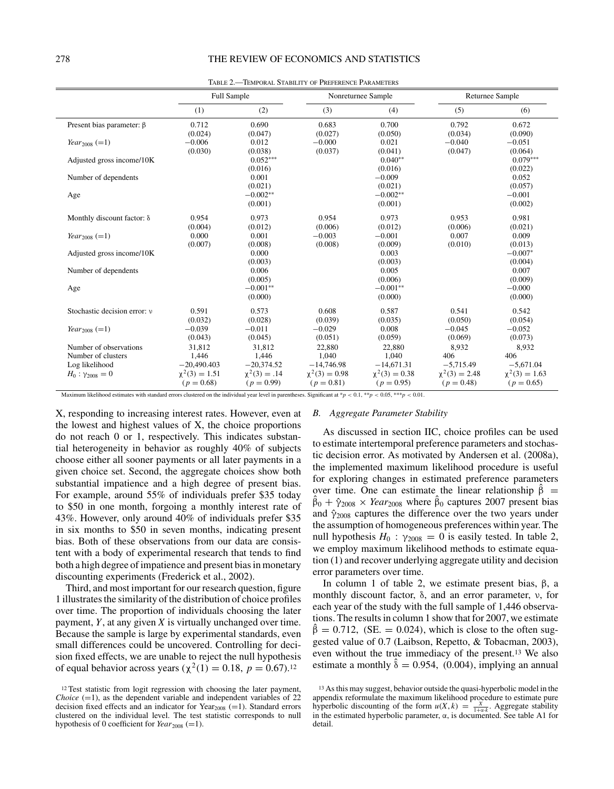|                                   | <b>Full Sample</b>                 |                                   | Nonreturnee Sample                 |                                    | <b>Returnee Sample</b>             |                                    |
|-----------------------------------|------------------------------------|-----------------------------------|------------------------------------|------------------------------------|------------------------------------|------------------------------------|
|                                   | (1)                                | (2)                               | (3)                                | (4)                                | (5)                                | (6)                                |
| Present bias parameter: $\beta$   | 0.712<br>(0.024)                   | 0.690<br>(0.047)                  | 0.683<br>(0.027)                   | 0.700<br>(0.050)                   | 0.792<br>(0.034)                   | 0.672<br>(0.090)                   |
| <i>Year</i> <sub>2008</sub> (=1)  | $-0.006$<br>(0.030)                | 0.012<br>(0.038)                  | $-0.000$<br>(0.037)                | 0.021<br>(0.041)                   | $-0.040$<br>(0.047)                | $-0.051$<br>(0.064)                |
| Adjusted gross income/10K         |                                    | $0.052***$<br>(0.016)             |                                    | $0.040**$<br>(0.016)               |                                    | $0.079***$<br>(0.022)              |
| Number of dependents              |                                    | 0.001<br>(0.021)                  |                                    | $-0.009$<br>(0.021)                |                                    | 0.052<br>(0.057)                   |
| Age                               |                                    | $-0.002**$<br>(0.001)             |                                    | $-0.002**$<br>(0.001)              |                                    | $-0.001$<br>(0.002)                |
| Monthly discount factor: $\delta$ | 0.954<br>(0.004)                   | 0.973<br>(0.012)                  | 0.954<br>(0.006)                   | 0.973<br>(0.012)                   | 0.953<br>(0.006)                   | 0.981<br>(0.021)                   |
| <i>Year</i> <sub>2008</sub> (=1)  | 0.000<br>(0.007)                   | 0.001<br>(0.008)                  | $-0.003$<br>(0.008)                | $-0.001$<br>(0.009)                | 0.007<br>(0.010)                   | 0.009<br>(0.013)                   |
| Adjusted gross income/10K         |                                    | 0.000<br>(0.003)                  |                                    | 0.003<br>(0.003)                   |                                    | $-0.007*$<br>(0.004)               |
| Number of dependents              |                                    | 0.006<br>(0.005)                  |                                    | 0.005<br>(0.006)                   |                                    | 0.007<br>(0.009)                   |
| Age                               |                                    | $-0.001**$<br>(0.000)             |                                    | $-0.001**$<br>(0.000)              |                                    | $-0.000$<br>(0.000)                |
| Stochastic decision error: y      | 0.591<br>(0.032)                   | 0.573<br>(0.028)                  | 0.608<br>(0.039)                   | 0.587<br>(0.035)                   | 0.541<br>(0.050)                   | 0.542<br>(0.054)                   |
| <i>Year</i> <sub>2008</sub> (=1)  | $-0.039$<br>(0.043)                | $-0.011$<br>(0.045)               | $-0.029$<br>(0.051)                | 0.008<br>(0.059)                   | $-0.045$<br>(0.069)                | $-0.052$<br>(0.073)                |
| Number of observations            | 31.812                             | 31.812                            | 22.880                             | 22.880                             | 8.932                              | 8.932                              |
| Number of clusters                | 1,446                              | 1,446                             | 1,040                              | 1.040                              | 406                                | 406                                |
| Log likelihood                    | $-20,490.403$                      | $-20,374.52$                      | $-14,746.98$                       | $-14,671.31$                       | $-5,715.49$                        | $-5,671.04$                        |
| $H_0$ : $\gamma_{2008} = 0$       | $\chi^2(3) = 1.51$<br>$(p = 0.68)$ | $\chi^2(3) = .14$<br>$(p = 0.99)$ | $\chi^2(3) = 0.98$<br>$(p = 0.81)$ | $\chi^2(3) = 0.38$<br>$(p = 0.95)$ | $\chi^2(3) = 2.48$<br>$(p = 0.48)$ | $\chi^2(3) = 1.63$<br>$(p = 0.65)$ |

Table 2.—Temporal Stability of Preference Parameters

Maximum likelihood estimates with standard errors clustered on the individual year level in parentheses. Significant at  $\gamma$   $<$  0.1, \*\* $p$   $<$  0.05, \*\*\* $p$   $<$  0.01.

X, responding to increasing interest rates. However, even at the lowest and highest values of X, the choice proportions do not reach 0 or 1, respectively. This indicates substantial heterogeneity in behavior as roughly 40% of subjects choose either all sooner payments or all later payments in a given choice set. Second, the aggregate choices show both substantial impatience and a high degree of present bias. For example, around 55% of individuals prefer \$35 today to \$50 in one month, forgoing a monthly interest rate of 43%. However, only around 40% of individuals prefer \$35 in six months to \$50 in seven months, indicating present bias. Both of these observations from our data are consistent with a body of experimental research that tends to find both a high degree of impatience and present bias in monetary discounting experiments (Frederick et al., 2002).

Third, and most important for our research question, figure 1 illustrates the similarity of the distribution of choice profiles over time. The proportion of individuals choosing the later payment, *Y*, at any given *X* is virtually unchanged over time. Because the sample is large by experimental standards, even small differences could be uncovered. Controlling for decision fixed effects, we are unable to reject the null hypothesis of equal behavior across years ( $\chi^2(1) = 0.18$ , *p* = 0.67).<sup>12</sup>

#### *B. Aggregate Parameter Stability*

As discussed in section IIC, choice profiles can be used to estimate intertemporal preference parameters and stochastic decision error. As motivated by Andersen et al. (2008a), the implemented maximum likelihood procedure is useful for exploring changes in estimated preference parameters over time. One can estimate the linear relationship  $\hat{\beta}$  =  $\hat{\beta}_0 + \hat{\gamma}_{2008} \times \text{Year}_{2008}$  where  $\hat{\beta}_0$  captures 2007 present bias and  $\hat{\gamma}_{2008}$  captures the difference over the two years under the assumption of homogeneous preferences within year. The null hypothesis  $H_0$ :  $\gamma_{2008} = 0$  is easily tested. In table 2, we employ maximum likelihood methods to estimate equation (1) and recover underlying aggregate utility and decision error parameters over time.

In column 1 of table 2, we estimate present bias,  $β$ , a monthly discount factor, δ, and an error parameter, ν, for each year of the study with the full sample of 1,446 observations. The results in column 1 show that for 2007, we estimate  $\beta = 0.712$ , *(SE. = 0.024)*, which is close to the often suggested value of 0.7 (Laibson, Repetto, & Tobacman, 2003), even without the true immediacy of the present.13 We also estimate a monthly  $\hat{\delta} = 0.954$ , (0.004), implying an annual

<sup>12</sup> Test statistic from logit regression with choosing the later payment, *Choice*  $(=1)$ , as the dependent variable and independent variables of 22 decision fixed effects and an indicator for  $Year_{2008} (=1)$ . Standard errors clustered on the individual level. The test statistic corresponds to null hypothesis of 0 coefficient for  $Year_{2008} (=1)$ .

<sup>13</sup> As this may suggest, behavior outside the quasi-hyperbolic model in the appendix reformulate the maximum likelihood procedure to estimate pure hyperbolic discounting of the form  $u(X, k) = \frac{X}{1 + \alpha k}$ . Aggregate stability in the estimated hyperbolic parameter, α, is documented. See table A1 for detail.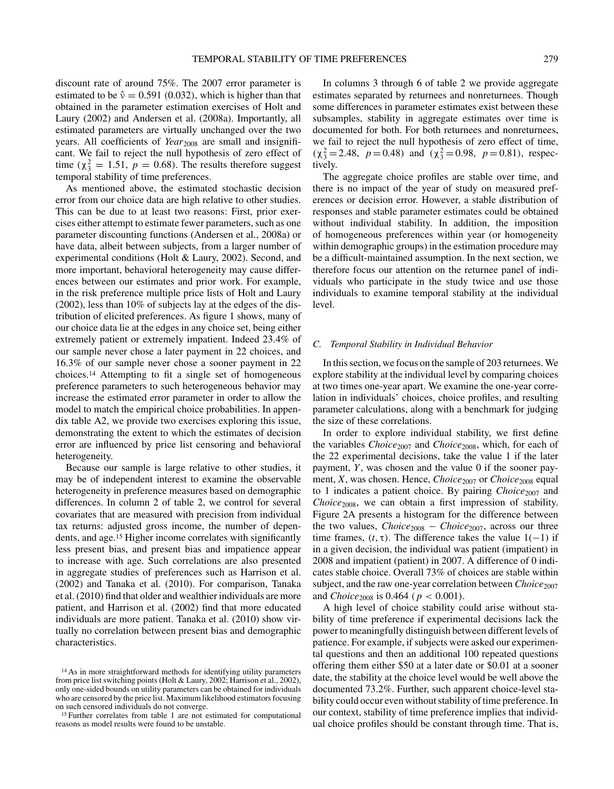discount rate of around 75%. The 2007 error parameter is estimated to be  $\hat{v} = 0.591$  (0.032), which is higher than that obtained in the parameter estimation exercises of Holt and Laury (2002) and Andersen et al. (2008a). Importantly, all estimated parameters are virtually unchanged over the two years. All coefficients of *Year*<sub>2008</sub> are small and insignificant. We fail to reject the null hypothesis of zero effect of time  $(\chi_3^2 = 1.51, p = 0.68)$ . The results therefore suggest temporal stability of time preferences.

As mentioned above, the estimated stochastic decision error from our choice data are high relative to other studies. This can be due to at least two reasons: First, prior exercises either attempt to estimate fewer parameters, such as one parameter discounting functions (Andersen et al., 2008a) or have data, albeit between subjects, from a larger number of experimental conditions (Holt & Laury, 2002). Second, and more important, behavioral heterogeneity may cause differences between our estimates and prior work. For example, in the risk preference multiple price lists of Holt and Laury (2002), less than 10% of subjects lay at the edges of the distribution of elicited preferences. As figure 1 shows, many of our choice data lie at the edges in any choice set, being either extremely patient or extremely impatient. Indeed 23.4% of our sample never chose a later payment in 22 choices, and 16.3% of our sample never chose a sooner payment in 22 choices.14 Attempting to fit a single set of homogeneous preference parameters to such heterogeneous behavior may increase the estimated error parameter in order to allow the model to match the empirical choice probabilities. In appendix table A2, we provide two exercises exploring this issue, demonstrating the extent to which the estimates of decision error are influenced by price list censoring and behavioral heterogeneity.

Because our sample is large relative to other studies, it may be of independent interest to examine the observable heterogeneity in preference measures based on demographic differences. In column 2 of table 2, we control for several covariates that are measured with precision from individual tax returns: adjusted gross income, the number of dependents, and age.15 Higher income correlates with significantly less present bias, and present bias and impatience appear to increase with age. Such correlations are also presented in aggregate studies of preferences such as Harrison et al. (2002) and Tanaka et al. (2010). For comparison, Tanaka et al. (2010) find that older and wealthier individuals are more patient, and Harrison et al. (2002) find that more educated individuals are more patient. Tanaka et al. (2010) show virtually no correlation between present bias and demographic characteristics.

In columns 3 through 6 of table 2 we provide aggregate estimates separated by returnees and nonreturnees. Though some differences in parameter estimates exist between these subsamples, stability in aggregate estimates over time is documented for both. For both returnees and nonreturnees, we fail to reject the null hypothesis of zero effect of time,  $(\chi_3^2 = 2.48, p = 0.48)$  and  $(\chi_3^2 = 0.98, p = 0.81)$ , respectively.

The aggregate choice profiles are stable over time, and there is no impact of the year of study on measured preferences or decision error. However, a stable distribution of responses and stable parameter estimates could be obtained without individual stability. In addition, the imposition of homogeneous preferences within year (or homogeneity within demographic groups) in the estimation procedure may be a difficult-maintained assumption. In the next section, we therefore focus our attention on the returnee panel of individuals who participate in the study twice and use those individuals to examine temporal stability at the individual level.

### *C. Temporal Stability in Individual Behavior*

In this section, we focus on the sample of 203 returnees.We explore stability at the individual level by comparing choices at two times one-year apart. We examine the one-year correlation in individuals' choices, choice profiles, and resulting parameter calculations, along with a benchmark for judging the size of these correlations.

In order to explore individual stability, we first define the variables *Choice*<sub>2007</sub> and *Choice*<sub>2008</sub>, which, for each of the 22 experimental decisions, take the value 1 if the later payment, *Y*, was chosen and the value 0 if the sooner payment, *X*, was chosen. Hence, *Choice*<sub>2007</sub> or *Choice*<sub>2008</sub> equal to 1 indicates a patient choice. By pairing *Choice*<sub>2007</sub> and *Choice*2008, we can obtain a first impression of stability. Figure 2A presents a histogram for the difference between the two values, *Choice*<sup>2008</sup> − *Choice*2007, across our three time frames,  $(t, \tau)$ . The difference takes the value  $1(-1)$  if in a given decision, the individual was patient (impatient) in 2008 and impatient (patient) in 2007. A difference of 0 indicates stable choice. Overall 73% of choices are stable within subject, and the raw one-year correlation between *Choice*<sub>2007</sub> and *Choice*<sub>2008</sub> is 0.464 ( $p < 0.001$ ).

A high level of choice stability could arise without stability of time preference if experimental decisions lack the power to meaningfully distinguish between different levels of patience. For example, if subjects were asked our experimental questions and then an additional 100 repeated questions offering them either \$50 at a later date or \$0.01 at a sooner date, the stability at the choice level would be well above the documented 73.2%. Further, such apparent choice-level stability could occur even without stability of time preference. In our context, stability of time preference implies that individual choice profiles should be constant through time. That is,

<sup>14</sup> As in more straightforward methods for identifying utility parameters from price list switching points (Holt & Laury, 2002; Harrison et al., 2002), only one-sided bounds on utility parameters can be obtained for individuals who are censored by the price list. Maximum likelihood estimators focusing on such censored individuals do not converge.

<sup>15</sup> Further correlates from table 1 are not estimated for computational reasons as model results were found to be unstable.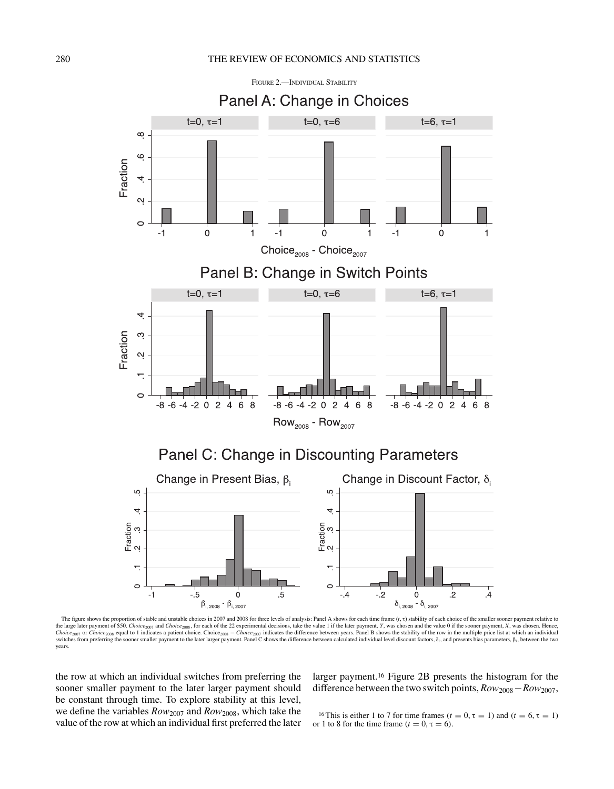

The figure shows the proportion of stable and unstable choices in 2007 and 2008 for three levels of analysis: Panel A shows for each time frame (*t*, τ) stability of each choice of the smaller sooner payment relative to the large later payment of \$50. Choice<sub>2007</sub> and Choice<sub>2008</sub>, for each of the 22 experimental decisions, take the value 1 if the later payment, Y, was chosen and the value 0 if the sooner payment, X, was chosen. Hence, Choice<sub>2007</sub> or Choice<sub>2008</sub> equal to 1 indicates a patient choice. Choice<sub>2008</sub> – Choice<sub>2008</sub> – Choice<sub>2007</sub> indicates the difference between years. Panel B shows the stability of the row in the multiple price list at w years.

the row at which an individual switches from preferring the sooner smaller payment to the later larger payment should be constant through time. To explore stability at this level, we define the variables *Row*<sup>2007</sup> and *Row*2008, which take the value of the row at which an individual first preferred the later

larger payment.16 Figure 2B presents the histogram for the difference between the two switch points, *Row*2008−*Row*2007,

<sup>16</sup> This is either 1 to 7 for time frames  $(t = 0, \tau = 1)$  and  $(t = 6, \tau = 1)$ or 1 to 8 for the time frame  $(t = 0, \tau = 6)$ .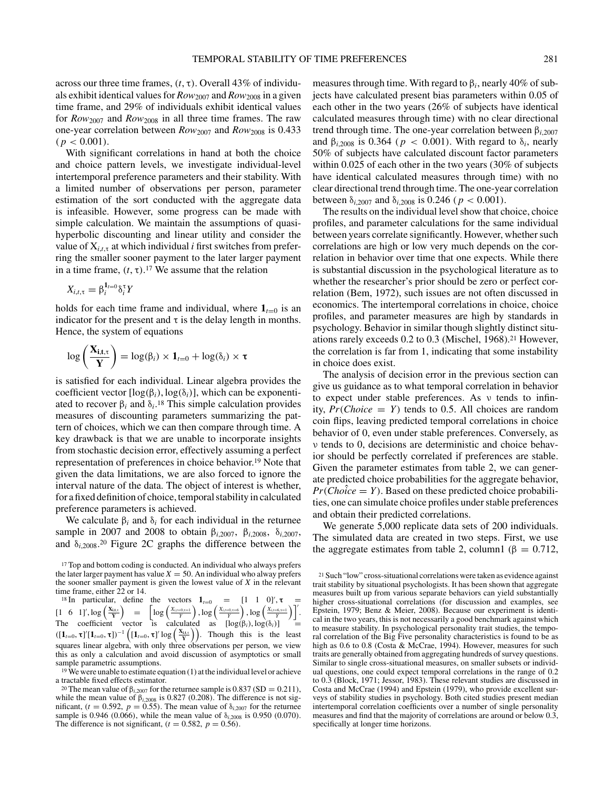across our three time frames,  $(t, \tau)$ . Overall 43% of individuals exhibit identical values for *Row*<sup>2007</sup> and *Row*<sup>2008</sup> in a given time frame, and 29% of individuals exhibit identical values for *Row*<sup>2007</sup> and *Row*<sup>2008</sup> in all three time frames. The raw one-year correlation between *Row*<sup>2007</sup> and *Row*<sup>2008</sup> is 0.433  $(p < 0.001)$ .

With significant correlations in hand at both the choice and choice pattern levels, we investigate individual-level intertemporal preference parameters and their stability. With a limited number of observations per person, parameter estimation of the sort conducted with the aggregate data is infeasible. However, some progress can be made with simple calculation. We maintain the assumptions of quasihyperbolic discounting and linear utility and consider the value of  $X_{i,t,\tau}$  at which individual *i* first switches from preferring the smaller sooner payment to the later larger payment in a time frame,  $(t, \tau)$ .<sup>17</sup> We assume that the relation

$$
X_{i,t,\tau} = \beta_i^{\mathbf{1}_{t=0}} \delta_i^{\tau} Y
$$

holds for each time frame and individual, where  $\mathbf{1}_{t=0}$  is an indicator for the present and  $\tau$  is the delay length in months. Hence, the system of equations

$$
\log\left(\frac{\mathbf{X_{i,t,\tau}}}{\mathbf{Y}}\right) = \log(\beta_i) \times \mathbf{1}_{t=0} + \log(\delta_i) \times \tau
$$

is satisfied for each individual. Linear algebra provides the coefficient vector [log*(*β*i)*, log*(*δ*i)*], which can be exponentiated to recover  $\beta_i$  and  $\delta_i$ <sup>18</sup>. This simple calculation provides measures of discounting parameters summarizing the pattern of choices, which we can then compare through time. A key drawback is that we are unable to incorporate insights from stochastic decision error, effectively assuming a perfect representation of preferences in choice behavior.19 Note that given the data limitations, we are also forced to ignore the interval nature of the data. The object of interest is whether, for a fixed definition of choice, temporal stability in calculated preference parameters is achieved.

We calculate  $\beta_i$  and  $\delta_i$  for each individual in the returnee sample in 2007 and 2008 to obtain β*i*,2007, β*i*,2008, δ*i*,2007, and  $\delta_{i,2008}$ .<sup>20</sup> Figure 2C graphs the difference between the

<sup>17</sup> Top and bottom coding is conducted. An individual who always prefers the later larger payment has value  $X = 50$ . An individual who alway prefers the sooner smaller payment is given the lowest value of *X* in the relevant time frame, either 22 or 14.

<sup>18</sup> In particular, define the vectors  $\mathbf{1}_{t=0}$  =  $\begin{bmatrix} 1 & 1 & 0 \end{bmatrix}$  $,\tau$  =  $\left[1\quad 6\quad 1\right]', \log\left(\frac{X_{i,t,\tau}}{Y}\right) \quad = \quad \left[\log\left(\frac{X_{i,t=0,\tau-1}}{Y}\right), \log\left(\frac{X_{i,t=0,\tau-6}}{Y}\right), \log\left(\frac{X_{i,t=6,\tau-1}}{Y}\right)\right]'.$ The coefficient vector is calculated as  $[\log(\beta_i), \log(\delta_i)] =$  $([1_{t=0}, \tau]' [1_{t=0}, \tau])^{-1} ([1_{t=0}, \tau]' \log \left( \frac{x_{i,t,\tau}}{Y} \right)).$  Though this is the least squares linear algebra, with only three observations per person, we view this as only a calculation and avoid discussion of asymptotics or small sample parametric assumptions.

<sup>19</sup> We were unable to estimate equation (1) at the individual level or achieve a tractable fixed effects estimator.

measures through time. With regard to β*i*, nearly 40% of subjects have calculated present bias parameters within 0.05 of each other in the two years (26% of subjects have identical calculated measures through time) with no clear directional trend through time. The one-year correlation between β*<sup>i</sup>*,2007 and  $\beta_{i,2008}$  is 0.364 ( $p < 0.001$ ). With regard to  $\delta_i$ , nearly 50% of subjects have calculated discount factor parameters within 0.025 of each other in the two years (30% of subjects have identical calculated measures through time) with no clear directional trend through time. The one-year correlation between δ*<sup>i</sup>*,2007 and δ*<sup>i</sup>*,2008 is 0.246 *( p <* 0.001*)*.

The results on the individual level show that choice, choice profiles, and parameter calculations for the same individual between years correlate significantly. However, whether such correlations are high or low very much depends on the correlation in behavior over time that one expects. While there is substantial discussion in the psychological literature as to whether the researcher's prior should be zero or perfect correlation (Bem, 1972), such issues are not often discussed in economics. The intertemporal correlations in choice, choice profiles, and parameter measures are high by standards in psychology. Behavior in similar though slightly distinct situations rarely exceeds 0.2 to 0.3 (Mischel, 1968).21 However, the correlation is far from 1, indicating that some instability in choice does exist.

The analysis of decision error in the previous section can give us guidance as to what temporal correlation in behavior to expect under stable preferences. As ν tends to infinity,  $Pr(Choice = Y)$  tends to 0.5. All choices are random coin flips, leaving predicted temporal correlations in choice behavior of 0, even under stable preferences. Conversely, as ν tends to 0, decisions are deterministic and choice behavior should be perfectly correlated if preferences are stable. Given the parameter estimates from table 2, we can generate predicted choice probabilities for the aggregate behavior,  $Pr(Choice = Y)$ . Based on these predicted choice probabilities, one can simulate choice profiles under stable preferences and obtain their predicted correlations.

We generate 5,000 replicate data sets of 200 individuals. The simulated data are created in two steps. First, we use the aggregate estimates from table 2, column1 ( $\beta = 0.712$ ,

<sup>&</sup>lt;sup>20</sup> The mean value of  $\beta_{i,2007}$  for the returnee sample is 0.837 *(SD = 0.211)*, while the mean value of  $β<sub>i,2008</sub>$  is 0.827 (0.208). The difference is not significant,  $(t = 0.592, p = 0.55)$ . The mean value of  $\delta_{i,2007}$  for the returnee sample is 0.946 *(0.066)*, while the mean value of  $\delta_{i,2008}$  is 0.950 *(0.070)*. The difference is not significant,  $(t = 0.582, p = 0.56)$ .

<sup>21</sup> Such "low" cross-situational correlations were taken as evidence against trait stability by situational psychologists. It has been shown that aggregate measures built up from various separate behaviors can yield substantially higher cross-situational correlations (for discussion and examples, see Epstein, 1979; Benz & Meier, 2008). Because our experiment is identical in the two years, this is not necessarily a good benchmark against which to measure stability. In psychological personality trait studies, the temporal correlation of the Big Five personality characteristics is found to be as high as 0.6 to 0.8 (Costa & McCrae, 1994). However, measures for such traits are generally obtained from aggregating hundreds of survey questions. Similar to single cross-situational measures, on smaller subsets or individual questions, one could expect temporal correlations in the range of 0.2 to 0.3 (Block, 1971; Jessor, 1983). These relevant studies are discussed in Costa and McCrae (1994) and Epstein (1979), who provide excellent surveys of stability studies in psychology. Both cited studies present median intertemporal correlation coefficients over a number of single personality measures and find that the majority of correlations are around or below 0.3, specifically at longer time horizons.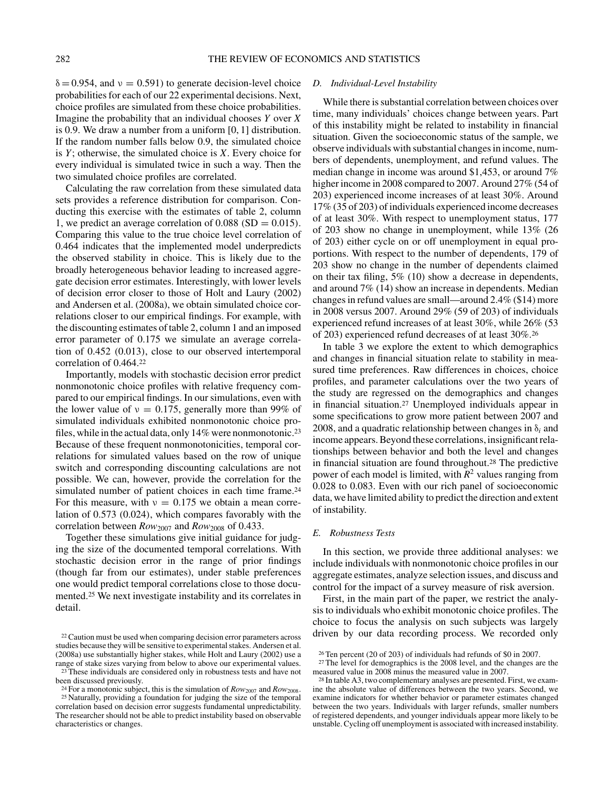$\delta = 0.954$ , and  $\nu = 0.591$ ) to generate decision-level choice probabilities for each of our 22 experimental decisions. Next, choice profiles are simulated from these choice probabilities. Imagine the probability that an individual chooses *Y* over *X* is 0.9. We draw a number from a uniform [0, 1] distribution. If the random number falls below 0.9, the simulated choice is *Y*; otherwise, the simulated choice is *X*. Every choice for every individual is simulated twice in such a way. Then the two simulated choice profiles are correlated.

Calculating the raw correlation from these simulated data sets provides a reference distribution for comparison. Conducting this exercise with the estimates of table 2, column 1, we predict an average correlation of  $0.088$  *(SD = 0.015)*. Comparing this value to the true choice level correlation of 0.464 indicates that the implemented model underpredicts the observed stability in choice. This is likely due to the broadly heterogeneous behavior leading to increased aggregate decision error estimates. Interestingly, with lower levels of decision error closer to those of Holt and Laury (2002) and Andersen et al. (2008a), we obtain simulated choice correlations closer to our empirical findings. For example, with the discounting estimates of table 2, column 1 and an imposed error parameter of 0.175 we simulate an average correlation of 0.452 *(*0.013*)*, close to our observed intertemporal correlation of 0.464.22

Importantly, models with stochastic decision error predict nonmonotonic choice profiles with relative frequency compared to our empirical findings. In our simulations, even with the lower value of  $v = 0.175$ , generally more than 99% of simulated individuals exhibited nonmonotonic choice profiles, while in the actual data, only 14% were nonmonotonic.23 Because of these frequent nonmonotonicities, temporal correlations for simulated values based on the row of unique switch and corresponding discounting calculations are not possible. We can, however, provide the correlation for the simulated number of patient choices in each time frame.<sup>24</sup> For this measure, with  $v = 0.175$  we obtain a mean correlation of 0.573 *(*0.024*)*, which compares favorably with the correlation between *Row*<sup>2007</sup> and *Row*<sup>2008</sup> of 0.433.

Together these simulations give initial guidance for judging the size of the documented temporal correlations. With stochastic decision error in the range of prior findings (though far from our estimates), under stable preferences one would predict temporal correlations close to those documented.25 We next investigate instability and its correlates in detail.

# *D. Individual-Level Instability*

While there is substantial correlation between choices over time, many individuals' choices change between years. Part of this instability might be related to instability in financial situation. Given the socioeconomic status of the sample, we observe individuals with substantial changes in income, numbers of dependents, unemployment, and refund values. The median change in income was around \$1,453, or around 7% higher income in 2008 compared to 2007. Around 27% (54 of 203) experienced income increases of at least 30%. Around 17% (35 of 203) of individuals experienced income decreases of at least 30%. With respect to unemployment status, 177 of 203 show no change in unemployment, while 13% (26 of 203) either cycle on or off unemployment in equal proportions. With respect to the number of dependents, 179 of 203 show no change in the number of dependents claimed on their tax filing, 5% (10) show a decrease in dependents, and around 7% (14) show an increase in dependents. Median changes in refund values are small—around 2.4% (\$14) more in 2008 versus 2007. Around 29% (59 of 203) of individuals experienced refund increases of at least 30%, while 26% (53 of 203) experienced refund decreases of at least 30%.26

In table 3 we explore the extent to which demographics and changes in financial situation relate to stability in measured time preferences. Raw differences in choices, choice profiles, and parameter calculations over the two years of the study are regressed on the demographics and changes in financial situation.27 Unemployed individuals appear in some specifications to grow more patient between 2007 and 2008, and a quadratic relationship between changes in  $\delta_i$  and income appears. Beyond these correlations, insignificant relationships between behavior and both the level and changes in financial situation are found throughout.28 The predictive power of each model is limited, with  $R^2$  values ranging from 0.028 to 0.083. Even with our rich panel of socioeconomic data, we have limited ability to predict the direction and extent of instability.

#### *E. Robustness Tests*

In this section, we provide three additional analyses: we include individuals with nonmonotonic choice profiles in our aggregate estimates, analyze selection issues, and discuss and control for the impact of a survey measure of risk aversion.

First, in the main part of the paper, we restrict the analysis to individuals who exhibit monotonic choice profiles. The choice to focus the analysis on such subjects was largely driven by our data recording process. We recorded only

<sup>22</sup>Caution must be used when comparing decision error parameters across studies because they will be sensitive to experimental stakes. Andersen et al. (2008a) use substantially higher stakes, while Holt and Laury (2002) use a range of stake sizes varying from below to above our experimental values.

<sup>23</sup> These individuals are considered only in robustness tests and have not been discussed previously.

<sup>&</sup>lt;sup>24</sup> For a monotonic subject, this is the simulation of  $Row_{2007}$  and  $Row_{2008}$ . <sup>25</sup> Naturally, providing a foundation for judging the size of the temporal correlation based on decision error suggests fundamental unpredictability. The researcher should not be able to predict instability based on observable characteristics or changes.

<sup>26</sup> Ten percent (20 of 203) of individuals had refunds of \$0 in 2007.

<sup>&</sup>lt;sup>27</sup> The level for demographics is the 2008 level, and the changes are the measured value in 2008 minus the measured value in 2007.

<sup>28</sup> In table A3, two complementary analyses are presented. First, we examine the absolute value of differences between the two years. Second, we examine indicators for whether behavior or parameter estimates changed between the two years. Individuals with larger refunds, smaller numbers of registered dependents, and younger individuals appear more likely to be unstable. Cycling off unemployment is associated with increased instability.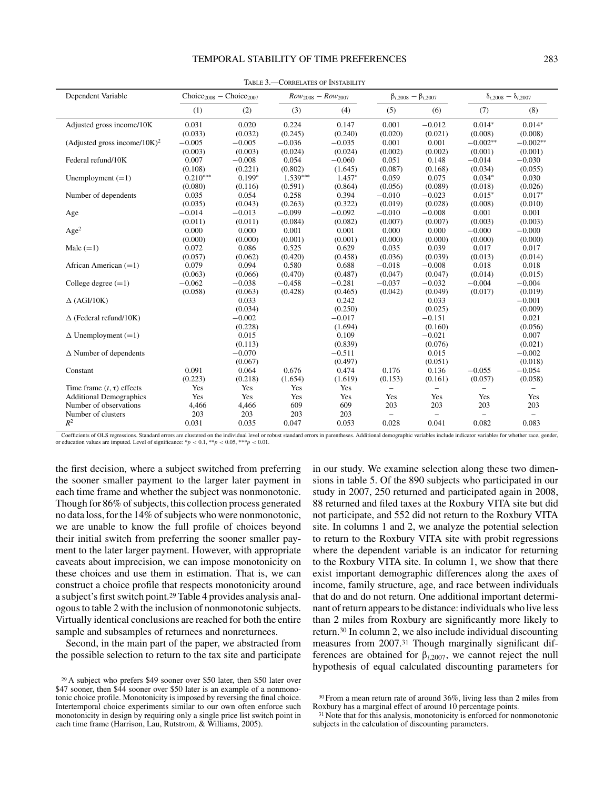#### TEMPORAL STABILITY OF TIME PREFERENCES 283

| Dependent Variable                           | $Choice2008 - Choice2007$ |          | $Row_{2008} - Row_{2007}$ |          | $\beta_{i,2008} - \beta_{i,2007}$ |                          | $\delta_{i,2008} - \delta_{i,2007}$ |            |
|----------------------------------------------|---------------------------|----------|---------------------------|----------|-----------------------------------|--------------------------|-------------------------------------|------------|
|                                              | (1)                       | (2)      | (3)                       | (4)      | (5)                               | (6)                      | (7)                                 | (8)        |
| Adjusted gross income/10K                    | 0.031                     | 0.020    | 0.224                     | 0.147    | 0.001                             | $-0.012$                 | $0.014*$                            | $0.014*$   |
|                                              | (0.033)                   | (0.032)  | (0.245)                   | (0.240)  | (0.020)                           | (0.021)                  | (0.008)                             | (0.008)    |
| (Adjusted gross income/ $10K$ ) <sup>2</sup> | $-0.005$                  | $-0.005$ | $-0.036$                  | $-0.035$ | 0.001                             | 0.001                    | $-0.002**$                          | $-0.002**$ |
|                                              | (0.003)                   | (0.003)  | (0.024)                   | (0.024)  | (0.002)                           | (0.002)                  | (0.001)                             | (0.001)    |
| Federal refund/10K                           | 0.007                     | $-0.008$ | 0.054                     | $-0.060$ | 0.051                             | 0.148                    | $-0.014$                            | $-0.030$   |
|                                              | (0.108)                   | (0.221)  | (0.802)                   | (1.645)  | (0.087)                           | (0.168)                  | (0.034)                             | (0.055)    |
| Unemployment $(=1)$                          | $0.210***$                | $0.199*$ | $1.539***$                | $1.457*$ | 0.059                             | 0.075                    | $0.034*$                            | 0.030      |
|                                              | (0.080)                   | (0.116)  | (0.591)                   | (0.864)  | (0.056)                           | (0.089)                  | (0.018)                             | (0.026)    |
| Number of dependents                         | 0.035                     | 0.054    | 0.258                     | 0.394    | $-0.010$                          | $-0.023$                 | $0.015*$                            | $0.017*$   |
|                                              | (0.035)                   | (0.043)  | (0.263)                   | (0.322)  | (0.019)                           | (0.028)                  | (0.008)                             | (0.010)    |
| Age                                          | $-0.014$                  | $-0.013$ | $-0.099$                  | $-0.092$ | $-0.010$                          | $-0.008$                 | 0.001                               | 0.001      |
|                                              | (0.011)                   | (0.011)  | (0.084)                   | (0.082)  | (0.007)                           | (0.007)                  | (0.003)                             | (0.003)    |
| Age <sup>2</sup>                             | 0.000                     | 0.000    | 0.001                     | 0.001    | 0.000                             | 0.000                    | $-0.000$                            | $-0.000$   |
|                                              | (0.000)                   | (0.000)  | (0.001)                   | (0.001)  | (0.000)                           | (0.000)                  | (0.000)                             | (0.000)    |
| Male $(=1)$                                  | 0.072                     | 0.086    | 0.525                     | 0.629    | 0.035                             | 0.039                    | 0.017                               | 0.017      |
|                                              | (0.057)                   | (0.062)  | (0.420)                   | (0.458)  | (0.036)                           | (0.039)                  | (0.013)                             | (0.014)    |
| African American $(=1)$                      | 0.079                     | 0.094    | 0.580                     | 0.688    | $-0.018$                          | $-0.008$                 | 0.018                               | 0.018      |
|                                              | (0.063)                   | (0.066)  | (0.470)                   | (0.487)  | (0.047)                           | (0.047)                  | (0.014)                             | (0.015)    |
| College degree $(=1)$                        | $-0.062$                  | $-0.038$ | $-0.458$                  | $-0.281$ | $-0.037$                          | $-0.032$                 | $-0.004$                            | $-0.004$   |
|                                              | (0.058)                   | (0.063)  | (0.428)                   | (0.465)  | (0.042)                           | (0.049)                  | (0.017)                             | (0.019)    |
| $\Delta$ (AGI/10K)                           |                           | 0.033    |                           | 0.242    |                                   | 0.033                    |                                     | $-0.001$   |
|                                              |                           | (0.034)  |                           | (0.250)  |                                   | (0.025)                  |                                     | (0.009)    |
| $\Delta$ (Federal refund/10K)                |                           | $-0.002$ |                           | $-0.017$ |                                   | $-0.151$                 |                                     | 0.021      |
|                                              |                           | (0.228)  |                           | (1.694)  |                                   | (0.160)                  |                                     | (0.056)    |
| $\Delta$ Unemployment (=1)                   |                           | 0.015    |                           | 0.109    |                                   | $-0.021$                 |                                     | 0.007      |
|                                              |                           | (0.113)  |                           | (0.839)  |                                   | (0.076)                  |                                     | (0.021)    |
| $\Delta$ Number of dependents                |                           | $-0.070$ |                           | $-0.511$ |                                   | 0.015                    |                                     | $-0.002$   |
|                                              |                           | (0.067)  |                           | (0.497)  |                                   | (0.051)                  |                                     | (0.018)    |
| Constant                                     | 0.091                     | 0.064    | 0.676                     | 0.474    | 0.176                             | 0.136                    | $-0.055$                            | $-0.054$   |
|                                              | (0.223)                   | (0.218)  | (1.654)                   | (1.619)  | (0.153)                           | (0.161)                  | (0.057)                             | (0.058)    |
| Time frame $(t, \tau)$ effects               | Yes                       | Yes      | Yes                       | Yes      | $\overline{\phantom{0}}$          |                          |                                     |            |
| <b>Additional Demographics</b>               | Yes                       | Yes      | Yes                       | Yes      | Yes                               | Yes                      | Yes                                 | Yes        |
| Number of observations                       | 4,466                     | 4,466    | 609                       | 609      | 203                               | 203                      | 203                                 | 203        |
| Number of clusters                           | 203                       | 203      | 203                       | 203      |                                   | $\overline{\phantom{0}}$ |                                     |            |
| $R^2$                                        | 0.031                     | 0.035    | 0.047                     | 0.053    | 0.028                             | 0.041                    | 0.082                               | 0.083      |

Table 3.—Correlates of Instability

errors in parentheses. Additional demographic variables include indicator variables for whether race, ge or education values are imputed. Level of significance:  $*p < 0.1$ ,  $**p < 0.05$ ,  $***p < 0.01$ .

the first decision, where a subject switched from preferring the sooner smaller payment to the larger later payment in each time frame and whether the subject was nonmonotonic. Though for 86% of subjects, this collection process generated no data loss, for the 14% of subjects who were nonmonotonic, we are unable to know the full profile of choices beyond their initial switch from preferring the sooner smaller payment to the later larger payment. However, with appropriate caveats about imprecision, we can impose monotonicity on these choices and use them in estimation. That is, we can construct a choice profile that respects monotonicity around a subject's first switch point.29 Table 4 provides analysis analogous to table 2 with the inclusion of nonmonotonic subjects. Virtually identical conclusions are reached for both the entire sample and subsamples of returnees and nonreturnees.

Second, in the main part of the paper, we abstracted from the possible selection to return to the tax site and participate

in our study. We examine selection along these two dimensions in table 5. Of the 890 subjects who participated in our study in 2007, 250 returned and participated again in 2008, 88 returned and filed taxes at the Roxbury VITA site but did not participate, and 552 did not return to the Roxbury VITA site. In columns 1 and 2, we analyze the potential selection to return to the Roxbury VITA site with probit regressions where the dependent variable is an indicator for returning to the Roxbury VITA site. In column 1, we show that there exist important demographic differences along the axes of income, family structure, age, and race between individuals that do and do not return. One additional important determinant of return appears to be distance: individuals who live less than 2 miles from Roxbury are significantly more likely to return.30 In column 2, we also include individual discounting measures from 2007.31 Though marginally significant differences are obtained for  $\beta_{i,2007}$ , we cannot reject the null hypothesis of equal calculated discounting parameters for

<sup>29</sup> A subject who prefers \$49 sooner over \$50 later, then \$50 later over \$47 sooner, then \$44 sooner over \$50 later is an example of a nonmonotonic choice profile. Monotonicity is imposed by reversing the final choice. Intertemporal choice experiments similar to our own often enforce such monotonicity in design by requiring only a single price list switch point in each time frame (Harrison, Lau, Rutstrom, & Williams, 2005).

<sup>30</sup> From a mean return rate of around 36%, living less than 2 miles from Roxbury has a marginal effect of around 10 percentage points.

<sup>&</sup>lt;sup>31</sup> Note that for this analysis, monotonicity is enforced for nonmonotonic subjects in the calculation of discounting parameters.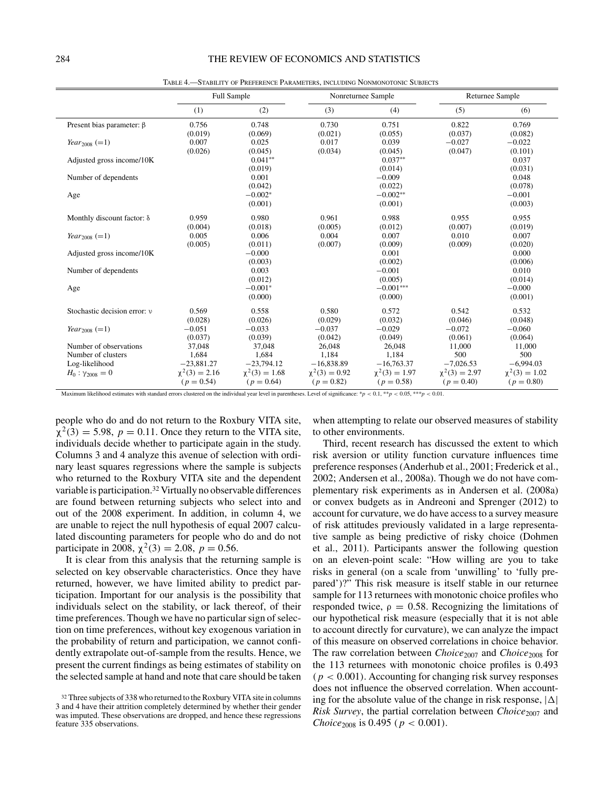|                                  |                                    | <b>Full Sample</b>                 |                                    | Nonreturnee Sample                 | Returnee Sample                    |                                    |
|----------------------------------|------------------------------------|------------------------------------|------------------------------------|------------------------------------|------------------------------------|------------------------------------|
|                                  | (1)                                | (2)                                | (3)                                | (4)                                | (5)                                | (6)                                |
| Present bias parameter: $\beta$  | 0.756<br>(0.019)                   | 0.748<br>(0.069)                   | 0.730<br>(0.021)                   | 0.751<br>(0.055)                   | 0.822<br>(0.037)                   | 0.769<br>(0.082)                   |
| <i>Year</i> <sub>2008</sub> (=1) | 0.007<br>(0.026)                   | 0.025<br>(0.045)                   | 0.017<br>(0.034)                   | 0.039<br>(0.045)                   | $-0.027$<br>(0.047)                | $-0.022$<br>(0.101)                |
| Adjusted gross income/10K        |                                    | $0.041**$<br>(0.019)               |                                    | $0.037**$<br>(0.014)               |                                    | 0.037<br>(0.031)                   |
| Number of dependents             |                                    | 0.001<br>(0.042)                   |                                    | $-0.009$<br>(0.022)                |                                    | 0.048<br>(0.078)                   |
| Age                              |                                    | $-0.002*$<br>(0.001)               |                                    | $-0.002**$<br>(0.001)              |                                    | $-0.001$<br>(0.003)                |
| Monthly discount factor: δ       | 0.959<br>(0.004)                   | 0.980<br>(0.018)                   | 0.961<br>(0.005)                   | 0.988<br>(0.012)                   | 0.955<br>(0.007)                   | 0.955<br>(0.019)                   |
| <i>Year</i> <sub>2008</sub> (=1) | 0.005<br>(0.005)                   | 0.006<br>(0.011)                   | 0.004<br>(0.007)                   | 0.007<br>(0.009)                   | 0.010<br>(0.009)                   | 0.007<br>(0.020)                   |
| Adjusted gross income/10K        |                                    | $-0.000$<br>(0.003)                |                                    | 0.001<br>(0.002)                   |                                    | 0.000<br>(0.006)                   |
| Number of dependents             |                                    | 0.003<br>(0.012)                   |                                    | $-0.001$<br>(0.005)                |                                    | 0.010<br>(0.014)                   |
| Age                              |                                    | $-0.001*$<br>(0.000)               |                                    | $-0.001***$<br>(0.000)             |                                    | $-0.000$<br>(0.001)                |
| Stochastic decision error: y     | 0.569<br>(0.028)                   | 0.558<br>(0.026)                   | 0.580<br>(0.029)                   | 0.572<br>(0.032)                   | 0.542<br>(0.046)                   | 0.532<br>(0.048)                   |
| <i>Year</i> <sub>2008</sub> (=1) | $-0.051$<br>(0.037)                | $-0.033$<br>(0.039)                | $-0.037$<br>(0.042)                | $-0.029$<br>(0.049)                | $-0.072$<br>(0.061)                | $-0.060$<br>(0.064)                |
| Number of observations           | 37,048                             | 37,048                             | 26,048                             | 26.048                             | 11,000                             | 11,000                             |
| Number of clusters               | 1,684                              | 1,684                              | 1.184                              | 1.184                              | 500                                | 500                                |
| Log-likelihood                   | $-23,881.27$                       | $-23,794.12$                       | $-16,838.89$                       | $-16,763.37$                       | $-7,026.53$                        | $-6,994.03$                        |
| $H_0: \gamma_{2008} = 0$         | $\chi^2(3) = 2.16$<br>$(p = 0.54)$ | $\chi^2(3) = 1.68$<br>$(p = 0.64)$ | $\chi^2(3) = 0.92$<br>$(p = 0.82)$ | $\chi^2(3) = 1.97$<br>$(p = 0.58)$ | $\chi^2(3) = 2.97$<br>$(p = 0.40)$ | $\chi^2(3) = 1.02$<br>$(p = 0.80)$ |

Table 4.—Stability of Preference Parameters, including Nonmonotonic Subjects

Maximum likelihood estimates with standard errors clustered on the individual year level in parentheses. Level of significance: \**p <* 0.1, \*\**p <* 0.05, \*\*\**p <* 0.01.

people who do and do not return to the Roxbury VITA site,  $\chi^2(3) = 5.98$ ,  $p = 0.11$ . Once they return to the VITA site, individuals decide whether to participate again in the study. Columns 3 and 4 analyze this avenue of selection with ordinary least squares regressions where the sample is subjects who returned to the Roxbury VITA site and the dependent variable is participation.32 Virtually no observable differences are found between returning subjects who select into and out of the 2008 experiment. In addition, in column 4, we are unable to reject the null hypothesis of equal 2007 calculated discounting parameters for people who do and do not participate in 2008,  $\chi^2(3) = 2.08$ ,  $p = 0.56$ .

It is clear from this analysis that the returning sample is selected on key observable characteristics. Once they have returned, however, we have limited ability to predict participation. Important for our analysis is the possibility that individuals select on the stability, or lack thereof, of their time preferences. Though we have no particular sign of selection on time preferences, without key exogenous variation in the probability of return and participation, we cannot confidently extrapolate out-of-sample from the results. Hence, we present the current findings as being estimates of stability on the selected sample at hand and note that care should be taken when attempting to relate our observed measures of stability to other environments.

Third, recent research has discussed the extent to which risk aversion or utility function curvature influences time preference responses (Anderhub et al., 2001; Frederick et al., 2002; Andersen et al., 2008a). Though we do not have complementary risk experiments as in Andersen et al. (2008a) or convex budgets as in Andreoni and Sprenger (2012) to account for curvature, we do have access to a survey measure of risk attitudes previously validated in a large representative sample as being predictive of risky choice (Dohmen et al., 2011). Participants answer the following question on an eleven-point scale: "How willing are you to take risks in general (on a scale from 'unwilling' to 'fully prepared')?" This risk measure is itself stable in our returnee sample for 113 returnees with monotonic choice profiles who responded twice,  $\rho = 0.58$ . Recognizing the limitations of our hypothetical risk measure (especially that it is not able to account directly for curvature), we can analyze the impact of this measure on observed correlations in choice behavior. The raw correlation between *Choice*<sup>2007</sup> and *Choice*<sup>2008</sup> for the 113 returnees with monotonic choice profiles is 0.493  $(p < 0.001)$ . Accounting for changing risk survey responses does not influence the observed correlation. When accounting for the absolute value of the change in risk response,  $|\Delta|$ *Risk Survey*, the partial correlation between *Choice*<sub>2007</sub> and *Choice*<sup>2008</sup> is 0.495 *( p <* 0.001*)*.

<sup>&</sup>lt;sup>32</sup> Three subjects of 338 who returned to the Roxbury VITA site in columns 3 and 4 have their attrition completely determined by whether their gender was imputed. These observations are dropped, and hence these regressions feature 335 observations.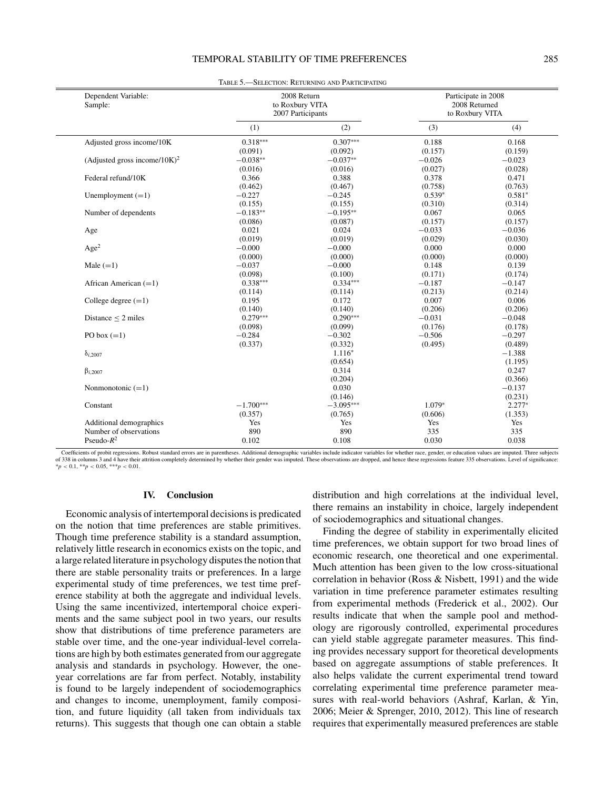| Dependent Variable:<br>Sample:               | 2008 Return<br>to Roxbury VITA<br>2007 Participants |             | Participate in 2008<br>2008 Returned<br>to Roxbury VITA |          |  |
|----------------------------------------------|-----------------------------------------------------|-------------|---------------------------------------------------------|----------|--|
|                                              | (1)                                                 | (2)         | (3)                                                     | (4)      |  |
| Adjusted gross income/10K                    | $0.318***$                                          | $0.307***$  | 0.188                                                   | 0.168    |  |
|                                              | (0.091)                                             | (0.092)     | (0.157)                                                 | (0.159)  |  |
| (Adjusted gross income/ $10K$ ) <sup>2</sup> | $-0.038**$                                          | $-0.037**$  | $-0.026$                                                | $-0.023$ |  |
|                                              | (0.016)                                             | (0.016)     | (0.027)                                                 | (0.028)  |  |
| Federal refund/10K                           | 0.366                                               | 0.388       | 0.378                                                   | 0.471    |  |
|                                              | (0.462)                                             | (0.467)     | (0.758)                                                 | (0.763)  |  |
| Unemployment $(=1)$                          | $-0.227$                                            | $-0.245$    | $0.539*$                                                | $0.581*$ |  |
|                                              | (0.155)                                             | (0.155)     | (0.310)                                                 | (0.314)  |  |
| Number of dependents                         | $-0.183**$                                          | $-0.195**$  | 0.067                                                   | 0.065    |  |
|                                              | (0.086)                                             | (0.087)     | (0.157)                                                 | (0.157)  |  |
| Age                                          | 0.021                                               | 0.024       | $-0.033$                                                | $-0.036$ |  |
|                                              | (0.019)                                             | (0.019)     | (0.029)                                                 | (0.030)  |  |
| $\rm{Age}^2$                                 | $-0.000$                                            | $-0.000$    | 0.000                                                   | 0.000    |  |
|                                              | (0.000)                                             | (0.000)     | (0.000)                                                 | (0.000)  |  |
| Male $(=1)$                                  | $-0.037$                                            | $-0.000$    | 0.148                                                   | 0.139    |  |
|                                              | (0.098)                                             | (0.100)     | (0.171)                                                 | (0.174)  |  |
| African American $(=1)$                      | $0.338***$                                          | $0.334***$  | $-0.187$                                                | $-0.147$ |  |
|                                              | (0.114)                                             | (0.114)     | (0.213)                                                 | (0.214)  |  |
| College degree $(=1)$                        | 0.195                                               | 0.172       | 0.007                                                   | 0.006    |  |
|                                              | (0.140)                                             | (0.140)     | (0.206)                                                 | (0.206)  |  |
| Distance $\leq$ 2 miles                      | $0.279***$                                          | $0.290***$  | $-0.031$                                                | $-0.048$ |  |
|                                              | (0.098)                                             | (0.099)     | (0.176)                                                 | (0.178)  |  |
| PO box $(=1)$                                | $-0.284$                                            | $-0.302$    | $-0.506$                                                | $-0.297$ |  |
|                                              | (0.337)                                             | (0.332)     | (0.495)                                                 | (0.489)  |  |
| $\delta_{i,2007}$                            |                                                     | $1.116*$    |                                                         | $-1.388$ |  |
|                                              |                                                     | (0.654)     |                                                         | (1.195)  |  |
| $\beta_{i,2007}$                             |                                                     | 0.314       |                                                         | 0.247    |  |
|                                              |                                                     | (0.204)     |                                                         | (0.366)  |  |
| Nonmonotonic $(=1)$                          |                                                     | 0.030       |                                                         | $-0.137$ |  |
|                                              |                                                     | (0.146)     |                                                         | (0.231)  |  |
| Constant                                     | $-1.700***$                                         | $-3.095***$ | $1.079*$                                                | $2.277*$ |  |
|                                              | (0.357)                                             | (0.765)     | (0.606)                                                 | (1.353)  |  |
| Additional demographics                      | Yes                                                 | Yes         | Yes                                                     | Yes      |  |
| Number of observations                       | 890                                                 | 890         | 335                                                     | 335      |  |
| Pseudo- $R^2$                                | 0.102                                               | 0.108       | 0.030                                                   | 0.038    |  |

Table 5.—Selection: Returning and Participating

Coefficients of probit regressions. Robust standard errors are in parentheses. Additional demographic variables include indicator variables for whether race, gender, or education values are imputed. Three subjects of 338 in columns 3 and 4 have their attrition completely determined by whether their gender was imputed. These observations are dropped, and hence these regressions feature 335 observations. Level of significance:<br>\*p < 0

#### **IV. Conclusion**

Economic analysis of intertemporal decisions is predicated on the notion that time preferences are stable primitives. Though time preference stability is a standard assumption, relatively little research in economics exists on the topic, and a large related literature in psychology disputes the notion that there are stable personality traits or preferences. In a large experimental study of time preferences, we test time preference stability at both the aggregate and individual levels. Using the same incentivized, intertemporal choice experiments and the same subject pool in two years, our results show that distributions of time preference parameters are stable over time, and the one-year individual-level correlations are high by both estimates generated from our aggregate analysis and standards in psychology. However, the oneyear correlations are far from perfect. Notably, instability is found to be largely independent of sociodemographics and changes to income, unemployment, family composition, and future liquidity (all taken from individuals tax returns). This suggests that though one can obtain a stable

distribution and high correlations at the individual level, there remains an instability in choice, largely independent of sociodemographics and situational changes.

Finding the degree of stability in experimentally elicited time preferences, we obtain support for two broad lines of economic research, one theoretical and one experimental. Much attention has been given to the low cross-situational correlation in behavior (Ross & Nisbett, 1991) and the wide variation in time preference parameter estimates resulting from experimental methods (Frederick et al., 2002). Our results indicate that when the sample pool and methodology are rigorously controlled, experimental procedures can yield stable aggregate parameter measures. This finding provides necessary support for theoretical developments based on aggregate assumptions of stable preferences. It also helps validate the current experimental trend toward correlating experimental time preference parameter measures with real-world behaviors (Ashraf, Karlan, & Yin, 2006; Meier & Sprenger, 2010, 2012). This line of research requires that experimentally measured preferences are stable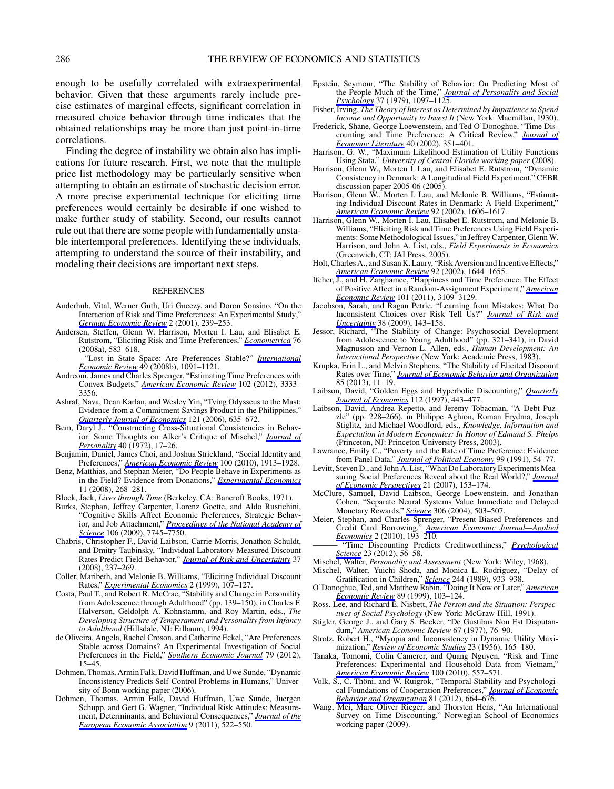enough to be usefully correlated with extraexperimental behavior. Given that these arguments rarely include precise estimates of marginal effects, significant correlation in measured choice behavior through time indicates that the obtained relationships may be more than just point-in-time correlations.

Finding the degree of instability we obtain also has implications for future research. First, we note that the multiple price list methodology may be particularly sensitive when attempting to obtain an estimate of stochastic decision error. A more precise experimental technique for eliciting time preferences would certainly be desirable if one wished to make further study of stability. Second, our results cannot rule out that there are some people with fundamentally unstable intertemporal preferences. Identifying these individuals, attempting to understand the source of their instability, and modeling their decisions are important next steps.

#### REFERENCES

- Anderhub, Vital, Werner Guth, Uri Gneezy, and Doron Sonsino, "On the Interaction of Risk and Time Preferences: An Experimental Study," *[German Economic Review](http://www.mitpressjournals.org/action/showLinks?crossref=10.1111%2F1468-0475.00036)* 2 (2001), 239–253.
- Andersen, Steffen, Glenn W. Harrison, Morten I. Lau, and Elisabet E. Rutstrom, "Eliciting Risk and Time Preferences," *[Econometrica](http://www.mitpressjournals.org/action/showLinks?crossref=10.1111%2Fj.1468-0262.2008.00848.x)* 76 (2008a), 583–618.
- ——— "Lost in State Space: Are Preferences Stable?" *[International](http://www.mitpressjournals.org/action/showLinks?crossref=10.1111%2Fj.1468-2354.2008.00507.x) [Economic Review](http://www.mitpressjournals.org/action/showLinks?crossref=10.1111%2Fj.1468-2354.2008.00507.x)* 49 (2008b), 1091–1121.
- Andreoni, James and Charles Sprenger, "Estimating Time Preferences with Convex Budgets," *[American Economic Review](http://www.mitpressjournals.org/action/showLinks?crossref=10.1257%2Faer.102.7.3333)* 102 (2012), 3333– 3356.
- Ashraf, Nava, Dean Karlan, and Wesley Yin, "Tying Odysseus to the Mast: Evidence from a Commitment Savings Product in the Philippines," *[Quarterly Journal of Economics](http://www.mitpressjournals.org/action/showLinks?crossref=10.1162%2Fqjec.2006.121.2.635)* 121 (2006), 635–672.
- Bem, Daryl J., "Constructing Cross-Situational Consistencies in Behavior: Some Thoughts on Alker's Critique of Mischel," *[Journal of](http://www.mitpressjournals.org/action/showLinks?crossref=10.1111%2Fj.1467-6494.1972.tb00645.x) [Personality](http://www.mitpressjournals.org/action/showLinks?crossref=10.1111%2Fj.1467-6494.1972.tb00645.x)* 40 (1972), 17–26.
- Benjamin, Daniel, James Choi, and Joshua Strickland, "Social Identity and Preferences," *[American Economic Review](http://www.mitpressjournals.org/action/showLinks?crossref=10.1257%2Faer.100.4.1913)* 100 (2010), 1913–1928.
- Benz, Matthias, and Stephan Meier, "Do People Behave in Experiments as in the Field? Evidence from Donations," *[Experimental Economics](http://www.mitpressjournals.org/action/showLinks?crossref=10.1007%2Fs10683-007-9192-y)* 11 (2008), 268–281.
- Block, Jack, *Lives through Time* (Berkeley, CA: Bancroft Books, 1971).
- Burks, Stephan, Jeffrey Carpenter, Lorenz Goette, and Aldo Rustichini, "Cognitive Skills Affect Economic Preferences, Strategic Behavior, and Job Attachment," *[Proceedings of the National Academy of](http://www.mitpressjournals.org/action/showLinks?crossref=10.1073%2Fpnas.0812360106) [Science](http://www.mitpressjournals.org/action/showLinks?crossref=10.1073%2Fpnas.0812360106)* 106 (2009), 7745–7750.
- Chabris, Christopher F., David Laibson, Carrie Morris, Jonathon Schuldt, and Dmitry Taubinsky, "Individual Laboratory-Measured Discount Rates Predict Field Behavior," *[Journal of Risk and Uncertainty](http://www.mitpressjournals.org/action/showLinks?crossref=10.1007%2Fs11166-008-9053-x)* 37 (2008), 237–269.
- Coller, Maribeth, and Melonie B. Williams, "Eliciting Individual Discount Rates," *[Experimental Economics](http://www.mitpressjournals.org/action/showLinks?crossref=10.1023%2FA%3A1009986005690)* 2 (1999), 107–127.
- Costa, Paul T., and Robert R. McCrae, "Stability and Change in Personality from Adolescence through Adulthood" (pp. 139–150), in Charles F. Halverson, Geldolph A. Kohnstamm, and Roy Martin, eds., *The Developing Structure of Temperament and Personality from Infancy to Adulthood* (Hillsdale, NJ: Erlbaum, 1994).
- de Oliveira, Angela, Rachel Croson, and Catherine Eckel, "Are Preferences Stable across Domains? An Experimental Investigation of Social Preferences in the Field," *[Southern Economic Journal](http://www.mitpressjournals.org/action/showLinks?crossref=10.4284%2F0038-4038-79.1.15)* 79 (2012), 15–45.
- Dohmen, Thomas, Armin Falk, David Huffman, and Uwe Sunde, "Dynamic Inconsistency Predicts Self-Control Problems in Humans," University of Bonn working paper (2006).
- Dohmen, Thomas, Armin Falk, David Huffman, Uwe Sunde, Juergen Schupp, and Gert G. Wagner, "Individual Risk Attitudes: Measurement, Determinants, and Behavioral Consequences," *[Journal of the](http://www.mitpressjournals.org/action/showLinks?crossref=10.1111%2Fj.1542-4774.2011.01015.x) [European Economic Association](http://www.mitpressjournals.org/action/showLinks?crossref=10.1111%2Fj.1542-4774.2011.01015.x)* 9 (2011), 522–550.
- Epstein, Seymour, "The Stability of Behavior: On Predicting Most of the People Much of the Time," *[Journal of Personality and Social](http://www.mitpressjournals.org/action/showLinks?crossref=10.1037%2F0022-3514.37.7.1097) [Psychology](http://www.mitpressjournals.org/action/showLinks?crossref=10.1037%2F0022-3514.37.7.1097)* 37 (1979), 1097–1125.
- Fisher, Irving, *The Theory of Interest as Determined by Impatience to Spend Income and Opportunity to Invest It* (New York: Macmillan, 1930).
- Frederick, Shane, George Loewenstein, and Ted O'Donoghue, "Time Discounting and Time Preference: A Critical Review," *[Journal of](http://www.mitpressjournals.org/action/showLinks?crossref=10.1257%2F002205102320161311) [Economic Literature](http://www.mitpressjournals.org/action/showLinks?crossref=10.1257%2F002205102320161311)* 40 (2002), 351–401.
- Harrison, G. W., "Maximum Likelihood Estimation of Utility Functions Using Stata," *University of Central Florida working paper* (2008).
- Harrison, Glenn W., Morten I. Lau, and Elisabet E. Rutstrom, "Dynamic Consistency in Denmark: A Longitudinal Field Experiment," CEBR discussion paper 2005-06 (2005).
- Harrison, Glenn W., Morten I. Lau, and Melonie B. Williams, "Estimating Individual Discount Rates in Denmark: A Field Experiment," *[American Economic Review](http://www.mitpressjournals.org/action/showLinks?crossref=10.1257%2F000282802762024674)* 92 (2002), 1606–1617.
- Harrison, Glenn W., Morten I. Lau, Elisabet E. Rutstrom, and Melonie B. Williams, "Eliciting Risk and Time Preferences Using Field Experiments: Some Methodological Issues," in Jeffrey Carpenter, Glenn W. Harrison, and John A. List, eds., *Field Experiments in Economics* (Greenwich, CT: JAI Press, 2005).
- Holt, Charles A., and Susan K. Laury, "Risk Aversion and Incentive Effects," *[American Economic Review](http://www.mitpressjournals.org/action/showLinks?crossref=10.1257%2F000282802762024700)* 92 (2002), 1644–1655.
- Ifcher, J., and H. Zarghamee, "Happiness and Time Preference: The Effect of Positive Affect in a Random-Assignment Experiment," *[American](http://www.mitpressjournals.org/action/showLinks?crossref=10.1257%2Faer.101.7.3109) [Economic Review](http://www.mitpressjournals.org/action/showLinks?crossref=10.1257%2Faer.101.7.3109)* 101 (2011), 3109–3129.
- Jacobson, Sarah, and Ragan Petrie, "Learning from Mistakes: What Do Inconsistent Choices over Risk Tell Us?" *[Journal of Risk and](http://www.mitpressjournals.org/action/showLinks?crossref=10.1007%2Fs11166-009-9063-3) [Uncertainty](http://www.mitpressjournals.org/action/showLinks?crossref=10.1007%2Fs11166-009-9063-3)* 38 (2009), 143–158.
- Jessor, Richard, "The Stability of Change: Psychosocial Development from Adolescence to Young Adulthood" (pp. 321–341), in David Magnusson and Vernon L. Allen, eds., *Human Development: An Interactional Perspective* (New York: Academic Press, 1983).
- Krupka, Erin L., and Melvin Stephens, "The Stability of Elicited Discount Rates over Time," *[Journal of Economic Behavior and Organization](http://www.mitpressjournals.org/action/showLinks?crossref=10.1016%2Fj.jebo.2012.10.010)* 85 (2013), 11–19.
- Laibson, David, "Golden Eggs and Hyperbolic Discounting," *[Quarterly](http://www.mitpressjournals.org/action/showLinks?crossref=10.1162%2F003355397555253) [Journal of Economics](http://www.mitpressjournals.org/action/showLinks?crossref=10.1162%2F003355397555253)* 112 (1997), 443–477.
- Laibson, David, Andrea Repetto, and Jeremy Tobacman, "A Debt Puzzle" (pp. 228–266), in Philippe Aghion, Roman Frydma, Joseph Stiglitz, and Michael Woodford, eds., *Knowledge, Information and Expectation in Modern Economics: In Honor of Edmund S. Phelps* (Princeton, NJ: Princeton University Press, 2003).
- Lawrance, Emily C., "Poverty and the Rate of Time Preference: Evidence from Panel Data," *[Journal of Political Economy](http://www.mitpressjournals.org/action/showLinks?crossref=10.1086%2F261740)* 99 (1991), 54–77.
- Levitt, Steven D., and John A. List, "What Do Laboratory Experiments Measuring Social Preferences Reveal about the Real World?," *[Journal](http://www.mitpressjournals.org/action/showLinks?crossref=10.1257%2Fjep.21.2.153) [of Economic Perspectives](http://www.mitpressjournals.org/action/showLinks?crossref=10.1257%2Fjep.21.2.153)* 21 (2007), 153–174.
- McClure, Samuel, David Laibson, George Loewenstein, and Jonathan Cohen, "Separate Neural Systems Value Immediate and Delayed Monetary Rewards," *[Science](http://www.mitpressjournals.org/action/showLinks?crossref=10.1126%2Fscience.1100907)* 306 (2004), 503–507.
- Meier, Stephan, and Charles Sprenger, "Present-Biased Preferences and Credit Card Borrowing," *[American Economic Journal—Applied](http://www.mitpressjournals.org/action/showLinks?crossref=10.1257%2Fapp.2.1.193) [Economics](http://www.mitpressjournals.org/action/showLinks?crossref=10.1257%2Fapp.2.1.193)* 2 (2010), 193–210.
- ——— "Time Discounting Predicts Creditworthiness," *[Psychological](http://www.mitpressjournals.org/action/showLinks?crossref=10.1177%2F0956797611425931) [Science](http://www.mitpressjournals.org/action/showLinks?crossref=10.1177%2F0956797611425931)* 23 (2012), 56–58.
- Mischel, Walter, *Personality and Assessment* (New York: Wiley, 1968).
- Mischel, Walter, Yuichi Shoda, and Monica L. Rodriguez, "Delay of Gratification in Children," *[Science](http://www.mitpressjournals.org/action/showLinks?crossref=10.1126%2Fscience.2658056)* 244 (1989), 933–938.
- O'Donoghue, Ted, and Matthew Rabin, "Doing It Now or Later," *[American](http://www.mitpressjournals.org/action/showLinks?crossref=10.1257%2Faer.89.1.103) [Economic Review](http://www.mitpressjournals.org/action/showLinks?crossref=10.1257%2Faer.89.1.103)* 89 (1999), 103–124.
- Ross, Lee, and Richard E. Nisbett, *The Person and the Situation: Perspectives of Social Psychology* (New York: McGraw-Hill, 1991).
- Stigler, George J., and Gary S. Becker, "De Gustibus Non Est Disputandum," *American Economic Review* 67 (1977), 76–90.
- Strotz, Robert H., "Myopia and Inconsistency in Dynamic Utility Maximization," *[Review of Economic Studies](http://www.mitpressjournals.org/action/showLinks?crossref=10.2307%2F2295722)* 23 (1956), 165–180.
- Tanaka, Tomomi, Colin Camerer, and Quang Nguyen, "Risk and Time Preferences: Experimental and Household Data from Vietnam,' *[American Economic Review](http://www.mitpressjournals.org/action/showLinks?crossref=10.1257%2Faer.100.1.557)* 100 (2010), 557–571.
- Volk, S., C. Thöni, and W. Ruigrok, "Temporal Stability and Psychological Foundations of Cooperation Preferences," *[Journal of Economic](http://www.mitpressjournals.org/action/showLinks?crossref=10.1016%2Fj.jebo.2011.10.006) [Behavior and Organization](http://www.mitpressjournals.org/action/showLinks?crossref=10.1016%2Fj.jebo.2011.10.006)* 81 (2012), 664–676.
- Wang, Mei, Marc Oliver Rieger, and Thorsten Hens, "An International Survey on Time Discounting," Norwegian School of Economics working paper (2009).